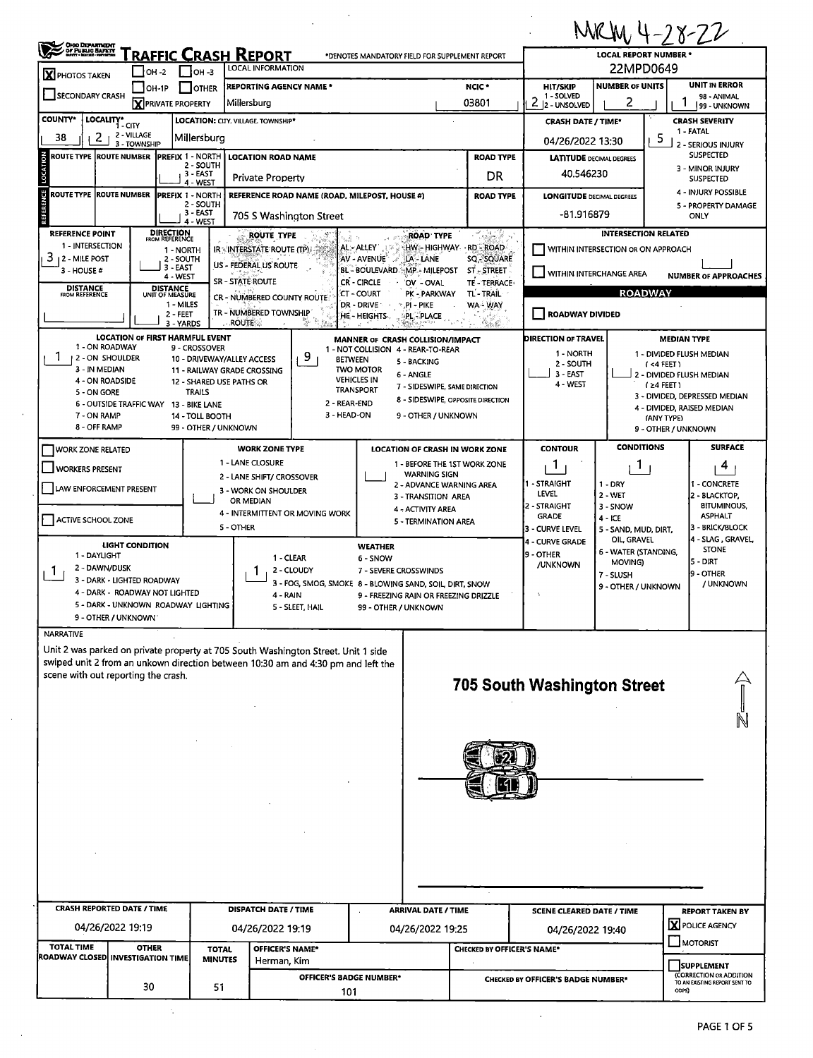|                                                                                   |                                                 |                                                         |                                                   |                             |                                        |                                                                                                                       |                                                                                               |                                           | MRM 4-28-22                        |                                   |                                                          |  |  |  |  |
|-----------------------------------------------------------------------------------|-------------------------------------------------|---------------------------------------------------------|---------------------------------------------------|-----------------------------|----------------------------------------|-----------------------------------------------------------------------------------------------------------------------|-----------------------------------------------------------------------------------------------|-------------------------------------------|------------------------------------|-----------------------------------|----------------------------------------------------------|--|--|--|--|
| <b>OHIO DEPARTMENT<br/>OF PUBLIC BAFETY</b><br>MATT : MATH : PERTH                |                                                 |                                                         | <u> Fraffic Crash Report</u><br>LOCAL INFORMATION |                             |                                        | *DENOTES MANDATORY FIELD FOR SUPPLEMENT REPORT                                                                        |                                                                                               | LOCAL REPORT NUMBER *<br>22MPD0649        |                                    |                                   |                                                          |  |  |  |  |
| $\mathbf X$ PHOTOS TAKEN                                                          | OH -2<br>OH-1P                                  | $I$ он -з<br><b>OTHER</b>                               | <b>REPORTING AGENCY NAME*</b>                     |                             |                                        |                                                                                                                       | NCIC <sup>*</sup>                                                                             | <b>HIT/SKIP</b>                           | <b>NUMBER OF UNITS</b>             |                                   | <b>UNIT IN ERROR</b>                                     |  |  |  |  |
| SECONDARY CRASH                                                                   | <b>X</b> PRIVATE PROPERTY<br>Millersburg        |                                                         |                                                   |                             |                                        |                                                                                                                       |                                                                                               | 1 - SOLVED<br>$2  2 - UNSOLVED$           | 2                                  | Τ                                 | 98 - ANIMAL<br>99 - UNKNOWN                              |  |  |  |  |
| <b>COUNTY*</b><br>LOCALITY*<br>1 - CITY                                           |                                                 |                                                         | LOCATION: CITY, VILLAGE, TOWNSHIP*                |                             |                                        |                                                                                                                       |                                                                                               | <b>CRASH DATE / TIME*</b>                 |                                    |                                   | <b>CRASH SEVERITY</b>                                    |  |  |  |  |
| 2<br>38                                                                           | 2 - VILLAGE<br>3 - TOWNSHIP                     | Millersburg                                             |                                                   |                             |                                        |                                                                                                                       | 04/26/2022 13:30                                                                              |                                           | 5                                  | 1 - FATAL<br>2 - SERIOUS INJURY   |                                                          |  |  |  |  |
| <b>ROUTE TYPE ROUTE NUMBER</b>                                                    |                                                 | <b>IPREFIX 1 - NORTH</b><br>2 - SOUTH                   | <b>LOCATION ROAD NAME</b>                         |                             |                                        |                                                                                                                       | <b>ROAD TYPE</b>                                                                              | <b>LATITUDE DECIMAL DEGREES</b>           |                                    |                                   | <b>SUSPECTED</b>                                         |  |  |  |  |
| LOCATION                                                                          |                                                 | 3 - EAST<br>4 - WEST                                    | <b>Private Property</b>                           |                             |                                        |                                                                                                                       | DR                                                                                            | 40.546230                                 |                                    |                                   | 3 - MINOR INJURY<br><b>SUSPECTED</b>                     |  |  |  |  |
| FERENCE<br>ROUTE TYPE<br><b>ROUTE NUMBER</b>                                      |                                                 | <b>PREFIX 1 - NORTH</b><br>2 - SOUTH                    | REFERENCE ROAD NAME (ROAD, MILEPOST, HOUSE #)     |                             |                                        |                                                                                                                       | <b>ROAD TYPE</b>                                                                              | <b>LONGITUDE DECIMAL DEGREES</b>          |                                    |                                   | 4 - INJURY POSSIBLE                                      |  |  |  |  |
|                                                                                   | 3 - EAST<br>705 S Washington Street<br>4 - WEST |                                                         |                                                   |                             |                                        |                                                                                                                       |                                                                                               | -81.916879                                | 5 - PROPERTY DAMAGE<br>ONLY        |                                   |                                                          |  |  |  |  |
| <b>REFERENCE POINT</b>                                                            | <b>DIRECTION</b><br>FROM REFERENCE              |                                                         | <b>ROUTE TYPE</b>                                 |                             |                                        | <b>ROAD TYPE</b>                                                                                                      | - Carl                                                                                        |                                           | <b>INTERSECTION RELATED</b>        |                                   |                                                          |  |  |  |  |
| 1 - INTERSECTION<br>3<br>12 - MILE POST                                           |                                                 | 1 - NORTH<br>2 - SOUTH                                  | <b>IR - INTERSTATE ROUTE (TP).</b>                |                             | AL - ALLEY<br>AV - AVENUE`             | HW - HIGHWAY - RD - ROAD<br>LA - LANE                                                                                 | SQ - SQUARE                                                                                   |                                           | WITHIN INTERSECTION OR ON APPROACH |                                   |                                                          |  |  |  |  |
| 3 - HOUSE #                                                                       |                                                 | 3 EAST<br>4 - WEST                                      | US - FEDERAL US ROUTE                             |                             |                                        | BL - BOULEVARD MP - MILEPOST                                                                                          | ST-STREET                                                                                     | WITHIN INTERCHANGE AREA                   |                                    |                                   | <b>NUMBER OF APPROACHES</b>                              |  |  |  |  |
| <b>DISTANCE</b>                                                                   | <b>DISTANCE</b>                                 |                                                         | <b>SR - STATE ROUTE</b>                           |                             | CR - CIRCLE<br><b>CT - COURT</b>       | OV - OVAL<br>PK - PARKWAY                                                                                             | TE - TERRACE<br>TL-TRAIL                                                                      |                                           |                                    |                                   |                                                          |  |  |  |  |
| <b>FROM REFERENCE</b>                                                             | UNIT OF MEASURE                                 | 1 - MILES                                               | CR - NUMBERED COUNTY ROUTE                        |                             | DR - DRIVE                             | .PI - PIKE                                                                                                            | WA - WAY                                                                                      | <b>ROADWAY</b>                            |                                    |                                   |                                                          |  |  |  |  |
|                                                                                   |                                                 | $2 - FEET$<br>3 - YARDS                                 | TR - NUMBERED TOWNSHIP<br>$\therefore$ ROUTE      | N.<br>in B                  | HE - HEIGHTS                           | PL - PLACE                                                                                                            | 化氯铅                                                                                           | <b>ROADWAY DIVIDED</b>                    |                                    |                                   |                                                          |  |  |  |  |
| 1 - ON ROADWAY                                                                    |                                                 | <b>LOCATION OF FIRST HARMFUL EVENT</b><br>9 - CROSSOVER |                                                   |                             |                                        | MANNER OF CRASH COLLISION/IMPACT                                                                                      |                                                                                               | DIRECTION OF TRAVEL                       |                                    | <b>MEDIAN TYPE</b>                |                                                          |  |  |  |  |
| 1<br>2 - ON SHOULDER                                                              |                                                 | 10 - DRIVEWAY/ALLEY ACCESS                              |                                                   | 9                           | <b>BETWEEN</b>                         | 1 - NOT COLLISION 4 - REAR-TO-REAR<br>5 - BACKING                                                                     |                                                                                               | 1 - NORTH<br>2 - SOUTH                    |                                    | (4 FEE)                           | 1 - DIVIDED FLUSH MEDIAN                                 |  |  |  |  |
| 3 - IN MEDIAN<br>4 - ON ROADSIDE                                                  |                                                 | 12 - SHARED USE PATHS OR                                | 11 - RAILWAY GRADE CROSSING                       |                             | <b>TWO MOTOR</b><br><b>VEHICLES IN</b> | 6 - ANGLE                                                                                                             |                                                                                               | 3 - EAST                                  |                                    |                                   | 2 - DIVIDED FLUSH MEDIAN                                 |  |  |  |  |
| 5 - ON GORE                                                                       |                                                 | <b>TRAILS</b>                                           |                                                   |                             | TRANSPORT                              | 7 - SIDESWIPE, SAME DIRECTION                                                                                         |                                                                                               | 4 - WEST                                  |                                    | $(24$ FEET)                       | 3 - DIVIDED, DEPRESSED MEDIAN                            |  |  |  |  |
| 6 - OUTSIDE TRAFFIC WAY 13 - BIKE LANE                                            |                                                 |                                                         |                                                   | 2 - REAR-END<br>3 - HEAD-ON |                                        | 8 - SIDESWIPE, OPPOSITE DIRECTION                                                                                     |                                                                                               |                                           |                                    |                                   | 4 - DIVIDED, RAISED MEDIAN                               |  |  |  |  |
| 7 - ON RAMP<br>8 - OFF RAMP                                                       |                                                 | 14 - TOLL BOOTH<br>99 - OTHER / UNKNOWN                 |                                                   |                             |                                        | 9 - OTHER / UNKNOWN                                                                                                   |                                                                                               |                                           |                                    | (ANY TYPE)<br>9 - OTHER / UNKNOWN |                                                          |  |  |  |  |
| <b>WORK ZONE RELATED</b>                                                          |                                                 |                                                         | <b>WORK ZONE TYPE</b>                             |                             |                                        | LOCATION OF CRASH IN WORK ZONE                                                                                        |                                                                                               | <b>CONTOUR</b>                            | <b>CONDITIONS</b>                  |                                   | <b>SURFACE</b>                                           |  |  |  |  |
|                                                                                   |                                                 |                                                         | 1 - LANE CLOSURE                                  |                             |                                        | 1 - BEFORE THE 1ST WORK ZONE                                                                                          |                                                                                               | T                                         | 1                                  |                                   | 4                                                        |  |  |  |  |
| WORKERS PRESENT                                                                   |                                                 |                                                         | 2 - LANE SHIFT/ CROSSOVER                         |                             |                                        | <b>WARNING SIGN</b><br>1 - STRAIGHT<br>$1 - DRY$<br>2 - ADVANCE WARNING AREA                                          |                                                                                               |                                           |                                    |                                   |                                                          |  |  |  |  |
| LAW ENFORCEMENT PRESENT                                                           |                                                 |                                                         | 3 - WORK ON SHOULDER<br>OR MEDIAN                 |                             |                                        | 3 - TRANSITION AREA                                                                                                   |                                                                                               | LEVEL                                     | 2 - WET                            |                                   | 1 - CONCRETE<br>2 - BLACKTOP,                            |  |  |  |  |
|                                                                                   |                                                 |                                                         | 4 - INTERMITTENT OR MOVING WORK                   |                             |                                        | 4 - ACTIVITY AREA                                                                                                     | 2 - STRAIGHT<br><b>BITUMINOUS,</b><br>3 - SNOW<br><b>GRADE</b><br><b>ASPHALT</b><br>$4 - ICE$ |                                           |                                    |                                   |                                                          |  |  |  |  |
| ACTIVE SCHOOL ZONE                                                                |                                                 |                                                         | 5 - OTHER                                         |                             |                                        | 5 - TERMINATION AREA<br>3 - BRICK/BLOCK<br>3 - CURVE LEVEL<br>5 - SAND, MUD, DIRT,                                    |                                                                                               |                                           |                                    |                                   |                                                          |  |  |  |  |
|                                                                                   | LIGHT CONDITION                                 |                                                         |                                                   |                             | <b>WEATHER</b>                         |                                                                                                                       |                                                                                               | 4 - CURVE GRADE                           | OIL, GRAVEL                        |                                   | 4 - SLAG, GRAVEL,<br><b>STONE</b>                        |  |  |  |  |
| 1 - DAYLIGHT<br>2 - DAWN/DUSK                                                     |                                                 |                                                         | 1 - CLEAR                                         |                             | 6 - SNOW                               |                                                                                                                       |                                                                                               | 9 - OTHER<br>/UNKNOWN                     | 6 - WATER (STANDING,<br>MOVING)    |                                   | IS - DIRT                                                |  |  |  |  |
| Т.<br>3 - DARK - LIGHTED ROADWAY                                                  |                                                 |                                                         |                                                   | 2 - CLOUDY                  | 7 - SEVERE CROSSWINDS                  | 9 - OTHER<br>7 - SLUSH<br>3 - FOG, SMOG, SMOKE 8 - BLOWING SAND, SOIL, DIRT, SNOW<br>/ UNKNOWN<br>9 - OTHER / UNKNOWN |                                                                                               |                                           |                                    |                                   |                                                          |  |  |  |  |
| 4 - DARK - ROADWAY NOT LIGHTED                                                    |                                                 |                                                         | 4 - RAIN                                          |                             |                                        | 9 - FREEZING RAIN OR FREEZING DRIZZLE                                                                                 |                                                                                               |                                           |                                    |                                   |                                                          |  |  |  |  |
| 9 - OTHER / UNKNOWN                                                               |                                                 | 5 - DARK - UNKNOWN ROADWAY LIGHTING                     |                                                   | 5 - SLEET, HAIL             | 99 - OTHER / UNKNOWN                   |                                                                                                                       |                                                                                               |                                           |                                    |                                   |                                                          |  |  |  |  |
| <b>NARRATIVE</b>                                                                  |                                                 |                                                         |                                                   |                             |                                        |                                                                                                                       |                                                                                               |                                           |                                    |                                   |                                                          |  |  |  |  |
| Unit 2 was parked on private property at 705 South Washington Street. Unit 1 side |                                                 |                                                         |                                                   |                             |                                        |                                                                                                                       |                                                                                               |                                           |                                    |                                   |                                                          |  |  |  |  |
| swiped unit 2 from an unkown direction between 10:30 am and 4:30 pm and left the  |                                                 |                                                         |                                                   |                             |                                        |                                                                                                                       |                                                                                               |                                           |                                    |                                   |                                                          |  |  |  |  |
| scene with out reporting the crash.                                               |                                                 |                                                         |                                                   |                             |                                        |                                                                                                                       |                                                                                               | <b>705 South Washington Street</b>        |                                    |                                   |                                                          |  |  |  |  |
|                                                                                   |                                                 |                                                         |                                                   |                             |                                        |                                                                                                                       |                                                                                               |                                           |                                    |                                   |                                                          |  |  |  |  |
|                                                                                   |                                                 |                                                         |                                                   |                             |                                        |                                                                                                                       |                                                                                               |                                           |                                    |                                   |                                                          |  |  |  |  |
|                                                                                   |                                                 |                                                         |                                                   |                             |                                        |                                                                                                                       |                                                                                               |                                           |                                    |                                   |                                                          |  |  |  |  |
|                                                                                   |                                                 |                                                         |                                                   |                             |                                        |                                                                                                                       |                                                                                               |                                           |                                    |                                   |                                                          |  |  |  |  |
|                                                                                   |                                                 |                                                         |                                                   |                             |                                        |                                                                                                                       |                                                                                               |                                           |                                    |                                   |                                                          |  |  |  |  |
|                                                                                   |                                                 |                                                         |                                                   |                             |                                        |                                                                                                                       |                                                                                               |                                           |                                    |                                   |                                                          |  |  |  |  |
|                                                                                   |                                                 |                                                         |                                                   |                             |                                        |                                                                                                                       |                                                                                               |                                           |                                    |                                   |                                                          |  |  |  |  |
|                                                                                   |                                                 |                                                         |                                                   |                             |                                        |                                                                                                                       |                                                                                               |                                           |                                    |                                   |                                                          |  |  |  |  |
|                                                                                   |                                                 |                                                         |                                                   |                             |                                        |                                                                                                                       |                                                                                               |                                           |                                    |                                   |                                                          |  |  |  |  |
|                                                                                   |                                                 |                                                         |                                                   |                             |                                        |                                                                                                                       |                                                                                               |                                           |                                    |                                   |                                                          |  |  |  |  |
|                                                                                   |                                                 |                                                         |                                                   |                             |                                        |                                                                                                                       |                                                                                               |                                           |                                    |                                   |                                                          |  |  |  |  |
|                                                                                   |                                                 |                                                         |                                                   |                             |                                        |                                                                                                                       |                                                                                               |                                           |                                    |                                   |                                                          |  |  |  |  |
| <b>CRASH REPORTED DATE / TIME</b>                                                 |                                                 |                                                         | <b>DISPATCH DATE / TIME</b>                       |                             |                                        | <b>ARRIVAL DATE / TIME</b>                                                                                            |                                                                                               | <b>SCENE CLEARED DATE / TIME</b>          |                                    |                                   | <b>REPORT TAKEN BY</b>                                   |  |  |  |  |
| 04/26/2022 19:19                                                                  | 04/26/2022 19:19                                |                                                         |                                                   | 04/26/2022 19:25            |                                        | 04/26/2022 19:40                                                                                                      |                                                                                               |                                           | X POLICE AGENCY                    |                                   |                                                          |  |  |  |  |
| <b>TOTAL TIME</b>                                                                 | <b>OTHER</b>                                    | <b>TOTAL</b>                                            | <b>OFFICER'S NAME*</b>                            |                             |                                        |                                                                                                                       | <b>CHECKED BY OFFICER'S NAME*</b>                                                             |                                           |                                    | $\Box$ MOTORIST                   |                                                          |  |  |  |  |
| ROADWAY CLOSED INVESTIGATION TIME                                                 |                                                 | <b>MINUTES</b>                                          | Herman, Kim                                       |                             |                                        |                                                                                                                       |                                                                                               |                                           |                                    |                                   | <b>SUPPLEMENT</b>                                        |  |  |  |  |
|                                                                                   | 30                                              | 51                                                      |                                                   |                             | <b>OFFICER'S BADGE NUMBER*</b>         |                                                                                                                       |                                                                                               | <b>CHECKED BY OFFICER'S BADGE NUMBER*</b> |                                    |                                   | (CORRECTION OR ADDITION<br>TO AN EXISTING REPORT SENT TO |  |  |  |  |
|                                                                                   |                                                 |                                                         |                                                   | 101                         |                                        |                                                                                                                       |                                                                                               |                                           |                                    | ODPS)                             |                                                          |  |  |  |  |

 $\frac{1}{2} \frac{1}{2} \frac{1}{2} \frac{1}{2}$ 

 $\sim$   $\sim$ 

 $\mathcal{A}$ 

 $\ddot{\phantom{a}}$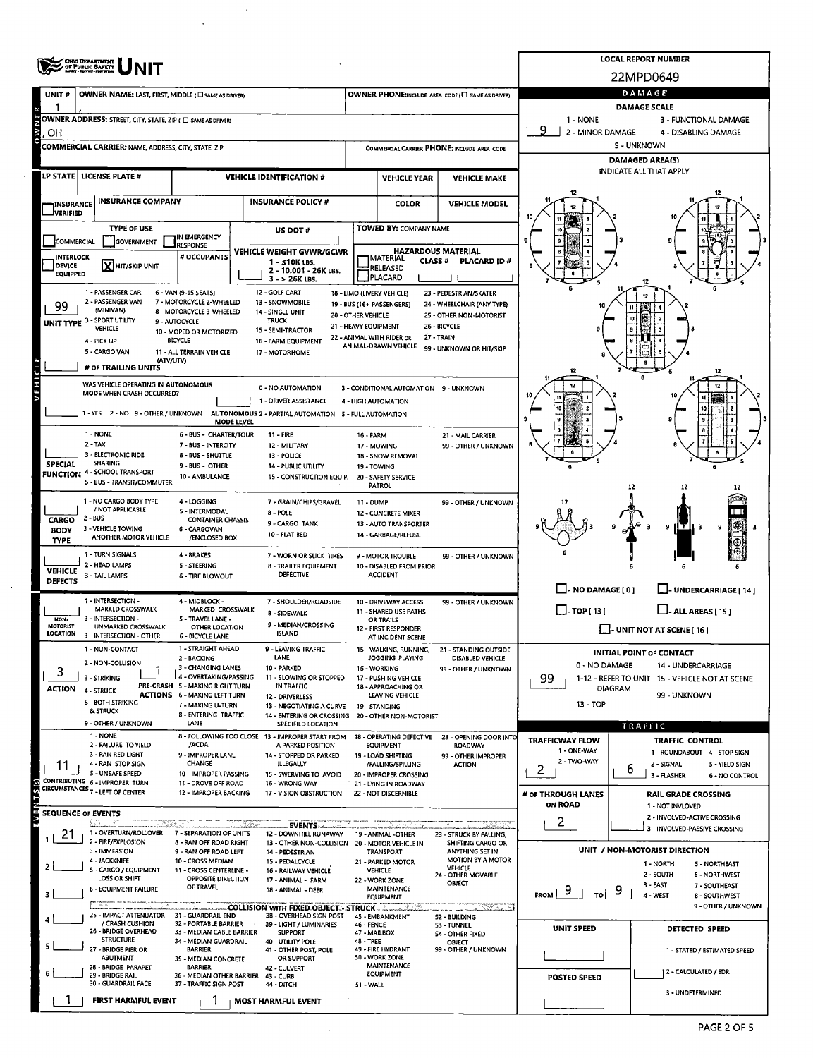|                                     | <b>OHO DEPARTMENT</b><br>OF PUBLIC BAFETY                                                                                                                                                                                                                                                                                                                                                                                                                                                                                                                                                                                                                                                                                                                                                                                                |                                                                                                                                                                                                                                                                                                                                                                                                                                                                                                                                                                                                                                                                                                                                                                                                                                                                                                                                                                                                                                                                                                                                                                                                                                                                                                                                                                                                                                                                                                                                                                                                                                                                                                                                                                                                                                                                                                                                                                                                                                                                                                                                                                                                                                                                                                                                                                                                                                                                                                                                                                                                                                                                                                                                                                                                                                                                                                                                                                                                                                                                                                                                                                                                                                                                                                                                                                                                                                                                                                                                                                                                                                                                                                                                                                                                                                                                                                                                                                                                                                                                                                                                                                                                                                                                                                                                                                                                                                                                                                                                                                                                                                                                                                                                                                                                                                                                                                                                                                                                                                                                                                                                                                                                                                                                                                                                                                                                                                                                                                                                                                                                                                                                                                                                       | <b>LOCAL REPORT NUMBER</b>                                                                                                                                                                    |               |                                            |  |             |                                            |  |  |  |  |  |  |  |
|-------------------------------------|------------------------------------------------------------------------------------------------------------------------------------------------------------------------------------------------------------------------------------------------------------------------------------------------------------------------------------------------------------------------------------------------------------------------------------------------------------------------------------------------------------------------------------------------------------------------------------------------------------------------------------------------------------------------------------------------------------------------------------------------------------------------------------------------------------------------------------------|---------------------------------------------------------------------------------------------------------------------------------------------------------------------------------------------------------------------------------------------------------------------------------------------------------------------------------------------------------------------------------------------------------------------------------------------------------------------------------------------------------------------------------------------------------------------------------------------------------------------------------------------------------------------------------------------------------------------------------------------------------------------------------------------------------------------------------------------------------------------------------------------------------------------------------------------------------------------------------------------------------------------------------------------------------------------------------------------------------------------------------------------------------------------------------------------------------------------------------------------------------------------------------------------------------------------------------------------------------------------------------------------------------------------------------------------------------------------------------------------------------------------------------------------------------------------------------------------------------------------------------------------------------------------------------------------------------------------------------------------------------------------------------------------------------------------------------------------------------------------------------------------------------------------------------------------------------------------------------------------------------------------------------------------------------------------------------------------------------------------------------------------------------------------------------------------------------------------------------------------------------------------------------------------------------------------------------------------------------------------------------------------------------------------------------------------------------------------------------------------------------------------------------------------------------------------------------------------------------------------------------------------------------------------------------------------------------------------------------------------------------------------------------------------------------------------------------------------------------------------------------------------------------------------------------------------------------------------------------------------------------------------------------------------------------------------------------------------------------------------------------------------------------------------------------------------------------------------------------------------------------------------------------------------------------------------------------------------------------------------------------------------------------------------------------------------------------------------------------------------------------------------------------------------------------------------------------------------------------------------------------------------------------------------------------------------------------------------------------------------------------------------------------------------------------------------------------------------------------------------------------------------------------------------------------------------------------------------------------------------------------------------------------------------------------------------------------------------------------------------------------------------------------------------------------------------------------------------------------------------------------------------------------------------------------------------------------------------------------------------------------------------------------------------------------------------------------------------------------------------------------------------------------------------------------------------------------------------------------------------------------------------------------------------------------------------------------------------------------------------------------------------------------------------------------------------------------------------------------------------------------------------------------------------------------------------------------------------------------------------------------------------------------------------------------------------------------------------------------------------------------------------------------------------------------------------------------------------------------------------------------------------------------------------------------------------------------------------------------------------------------------------------------------------------------------------------------------------------------------------------------------------------------------------------------------------------------------------------------------------------------------------------------------------------------------------------------------------------------------|-----------------------------------------------------------------------------------------------------------------------------------------------------------------------------------------------|---------------|--------------------------------------------|--|-------------|--------------------------------------------|--|--|--|--|--|--|--|
|                                     |                                                                                                                                                                                                                                                                                                                                                                                                                                                                                                                                                                                                                                                                                                                                                                                                                                          |                                                                                                                                                                                                                                                                                                                                                                                                                                                                                                                                                                                                                                                                                                                                                                                                                                                                                                                                                                                                                                                                                                                                                                                                                                                                                                                                                                                                                                                                                                                                                                                                                                                                                                                                                                                                                                                                                                                                                                                                                                                                                                                                                                                                                                                                                                                                                                                                                                                                                                                                                                                                                                                                                                                                                                                                                                                                                                                                                                                                                                                                                                                                                                                                                                                                                                                                                                                                                                                                                                                                                                                                                                                                                                                                                                                                                                                                                                                                                                                                                                                                                                                                                                                                                                                                                                                                                                                                                                                                                                                                                                                                                                                                                                                                                                                                                                                                                                                                                                                                                                                                                                                                                                                                                                                                                                                                                                                                                                                                                                                                                                                                                                                                                                                                       |                                                                                                                                                                                               |               |                                            |  |             | 22MPD0649                                  |  |  |  |  |  |  |  |
| UNIT#                               |                                                                                                                                                                                                                                                                                                                                                                                                                                                                                                                                                                                                                                                                                                                                                                                                                                          |                                                                                                                                                                                                                                                                                                                                                                                                                                                                                                                                                                                                                                                                                                                                                                                                                                                                                                                                                                                                                                                                                                                                                                                                                                                                                                                                                                                                                                                                                                                                                                                                                                                                                                                                                                                                                                                                                                                                                                                                                                                                                                                                                                                                                                                                                                                                                                                                                                                                                                                                                                                                                                                                                                                                                                                                                                                                                                                                                                                                                                                                                                                                                                                                                                                                                                                                                                                                                                                                                                                                                                                                                                                                                                                                                                                                                                                                                                                                                                                                                                                                                                                                                                                                                                                                                                                                                                                                                                                                                                                                                                                                                                                                                                                                                                                                                                                                                                                                                                                                                                                                                                                                                                                                                                                                                                                                                                                                                                                                                                                                                                                                                                                                                                                                       |                                                                                                                                                                                               |               |                                            |  |             |                                            |  |  |  |  |  |  |  |
|                                     |                                                                                                                                                                                                                                                                                                                                                                                                                                                                                                                                                                                                                                                                                                                                                                                                                                          |                                                                                                                                                                                                                                                                                                                                                                                                                                                                                                                                                                                                                                                                                                                                                                                                                                                                                                                                                                                                                                                                                                                                                                                                                                                                                                                                                                                                                                                                                                                                                                                                                                                                                                                                                                                                                                                                                                                                                                                                                                                                                                                                                                                                                                                                                                                                                                                                                                                                                                                                                                                                                                                                                                                                                                                                                                                                                                                                                                                                                                                                                                                                                                                                                                                                                                                                                                                                                                                                                                                                                                                                                                                                                                                                                                                                                                                                                                                                                                                                                                                                                                                                                                                                                                                                                                                                                                                                                                                                                                                                                                                                                                                                                                                                                                                                                                                                                                                                                                                                                                                                                                                                                                                                                                                                                                                                                                                                                                                                                                                                                                                                                                                                                                                                       |                                                                                                                                                                                               |               |                                            |  |             | 1 - NONE                                   |  |  |  |  |  |  |  |
| <b>N M</b><br>.OH                   |                                                                                                                                                                                                                                                                                                                                                                                                                                                                                                                                                                                                                                                                                                                                                                                                                                          |                                                                                                                                                                                                                                                                                                                                                                                                                                                                                                                                                                                                                                                                                                                                                                                                                                                                                                                                                                                                                                                                                                                                                                                                                                                                                                                                                                                                                                                                                                                                                                                                                                                                                                                                                                                                                                                                                                                                                                                                                                                                                                                                                                                                                                                                                                                                                                                                                                                                                                                                                                                                                                                                                                                                                                                                                                                                                                                                                                                                                                                                                                                                                                                                                                                                                                                                                                                                                                                                                                                                                                                                                                                                                                                                                                                                                                                                                                                                                                                                                                                                                                                                                                                                                                                                                                                                                                                                                                                                                                                                                                                                                                                                                                                                                                                                                                                                                                                                                                                                                                                                                                                                                                                                                                                                                                                                                                                                                                                                                                                                                                                                                                                                                                                                       |                                                                                                                                                                                               |               |                                            |  |             | 2 - MINOR DAMAGE<br>4 - DISABLING DAMAGE   |  |  |  |  |  |  |  |
|                                     |                                                                                                                                                                                                                                                                                                                                                                                                                                                                                                                                                                                                                                                                                                                                                                                                                                          |                                                                                                                                                                                                                                                                                                                                                                                                                                                                                                                                                                                                                                                                                                                                                                                                                                                                                                                                                                                                                                                                                                                                                                                                                                                                                                                                                                                                                                                                                                                                                                                                                                                                                                                                                                                                                                                                                                                                                                                                                                                                                                                                                                                                                                                                                                                                                                                                                                                                                                                                                                                                                                                                                                                                                                                                                                                                                                                                                                                                                                                                                                                                                                                                                                                                                                                                                                                                                                                                                                                                                                                                                                                                                                                                                                                                                                                                                                                                                                                                                                                                                                                                                                                                                                                                                                                                                                                                                                                                                                                                                                                                                                                                                                                                                                                                                                                                                                                                                                                                                                                                                                                                                                                                                                                                                                                                                                                                                                                                                                                                                                                                                                                                                                                                       |                                                                                                                                                                                               |               |                                            |  |             |                                            |  |  |  |  |  |  |  |
|                                     | LP STATE   LICENSE PLATE #                                                                                                                                                                                                                                                                                                                                                                                                                                                                                                                                                                                                                                                                                                                                                                                                               |                                                                                                                                                                                                                                                                                                                                                                                                                                                                                                                                                                                                                                                                                                                                                                                                                                                                                                                                                                                                                                                                                                                                                                                                                                                                                                                                                                                                                                                                                                                                                                                                                                                                                                                                                                                                                                                                                                                                                                                                                                                                                                                                                                                                                                                                                                                                                                                                                                                                                                                                                                                                                                                                                                                                                                                                                                                                                                                                                                                                                                                                                                                                                                                                                                                                                                                                                                                                                                                                                                                                                                                                                                                                                                                                                                                                                                                                                                                                                                                                                                                                                                                                                                                                                                                                                                                                                                                                                                                                                                                                                                                                                                                                                                                                                                                                                                                                                                                                                                                                                                                                                                                                                                                                                                                                                                                                                                                                                                                                                                                                                                                                                                                                                                                                       |                                                                                                                                                                                               |               | <b>VEHICLE YEAR</b><br><b>VEHICLE MAKE</b> |  |             |                                            |  |  |  |  |  |  |  |
|                                     |                                                                                                                                                                                                                                                                                                                                                                                                                                                                                                                                                                                                                                                                                                                                                                                                                                          |                                                                                                                                                                                                                                                                                                                                                                                                                                                                                                                                                                                                                                                                                                                                                                                                                                                                                                                                                                                                                                                                                                                                                                                                                                                                                                                                                                                                                                                                                                                                                                                                                                                                                                                                                                                                                                                                                                                                                                                                                                                                                                                                                                                                                                                                                                                                                                                                                                                                                                                                                                                                                                                                                                                                                                                                                                                                                                                                                                                                                                                                                                                                                                                                                                                                                                                                                                                                                                                                                                                                                                                                                                                                                                                                                                                                                                                                                                                                                                                                                                                                                                                                                                                                                                                                                                                                                                                                                                                                                                                                                                                                                                                                                                                                                                                                                                                                                                                                                                                                                                                                                                                                                                                                                                                                                                                                                                                                                                                                                                                                                                                                                                                                                                                                       |                                                                                                                                                                                               |               |                                            |  |             |                                            |  |  |  |  |  |  |  |
| INSURANCE<br><b>JVERIFIED</b>       |                                                                                                                                                                                                                                                                                                                                                                                                                                                                                                                                                                                                                                                                                                                                                                                                                                          |                                                                                                                                                                                                                                                                                                                                                                                                                                                                                                                                                                                                                                                                                                                                                                                                                                                                                                                                                                                                                                                                                                                                                                                                                                                                                                                                                                                                                                                                                                                                                                                                                                                                                                                                                                                                                                                                                                                                                                                                                                                                                                                                                                                                                                                                                                                                                                                                                                                                                                                                                                                                                                                                                                                                                                                                                                                                                                                                                                                                                                                                                                                                                                                                                                                                                                                                                                                                                                                                                                                                                                                                                                                                                                                                                                                                                                                                                                                                                                                                                                                                                                                                                                                                                                                                                                                                                                                                                                                                                                                                                                                                                                                                                                                                                                                                                                                                                                                                                                                                                                                                                                                                                                                                                                                                                                                                                                                                                                                                                                                                                                                                                                                                                                                                       |                                                                                                                                                                                               |               |                                            |  |             |                                            |  |  |  |  |  |  |  |
|                                     | <b>TYPE OF USE</b>                                                                                                                                                                                                                                                                                                                                                                                                                                                                                                                                                                                                                                                                                                                                                                                                                       |                                                                                                                                                                                                                                                                                                                                                                                                                                                                                                                                                                                                                                                                                                                                                                                                                                                                                                                                                                                                                                                                                                                                                                                                                                                                                                                                                                                                                                                                                                                                                                                                                                                                                                                                                                                                                                                                                                                                                                                                                                                                                                                                                                                                                                                                                                                                                                                                                                                                                                                                                                                                                                                                                                                                                                                                                                                                                                                                                                                                                                                                                                                                                                                                                                                                                                                                                                                                                                                                                                                                                                                                                                                                                                                                                                                                                                                                                                                                                                                                                                                                                                                                                                                                                                                                                                                                                                                                                                                                                                                                                                                                                                                                                                                                                                                                                                                                                                                                                                                                                                                                                                                                                                                                                                                                                                                                                                                                                                                                                                                                                                                                                                                                                                                                       |                                                                                                                                                                                               | US DOT#       |                                            |  |             |                                            |  |  |  |  |  |  |  |
| COMMERCIAL                          | GOVERNMENT                                                                                                                                                                                                                                                                                                                                                                                                                                                                                                                                                                                                                                                                                                                                                                                                                               | <b>RESPONSE</b>                                                                                                                                                                                                                                                                                                                                                                                                                                                                                                                                                                                                                                                                                                                                                                                                                                                                                                                                                                                                                                                                                                                                                                                                                                                                                                                                                                                                                                                                                                                                                                                                                                                                                                                                                                                                                                                                                                                                                                                                                                                                                                                                                                                                                                                                                                                                                                                                                                                                                                                                                                                                                                                                                                                                                                                                                                                                                                                                                                                                                                                                                                                                                                                                                                                                                                                                                                                                                                                                                                                                                                                                                                                                                                                                                                                                                                                                                                                                                                                                                                                                                                                                                                                                                                                                                                                                                                                                                                                                                                                                                                                                                                                                                                                                                                                                                                                                                                                                                                                                                                                                                                                                                                                                                                                                                                                                                                                                                                                                                                                                                                                                                                                                                                                       |                                                                                                                                                                                               |               |                                            |  |             |                                            |  |  |  |  |  |  |  |
| <b>INTERLOCK</b><br><b>DEVICE</b>   | X HIT/SKIP UNIT                                                                                                                                                                                                                                                                                                                                                                                                                                                                                                                                                                                                                                                                                                                                                                                                                          |                                                                                                                                                                                                                                                                                                                                                                                                                                                                                                                                                                                                                                                                                                                                                                                                                                                                                                                                                                                                                                                                                                                                                                                                                                                                                                                                                                                                                                                                                                                                                                                                                                                                                                                                                                                                                                                                                                                                                                                                                                                                                                                                                                                                                                                                                                                                                                                                                                                                                                                                                                                                                                                                                                                                                                                                                                                                                                                                                                                                                                                                                                                                                                                                                                                                                                                                                                                                                                                                                                                                                                                                                                                                                                                                                                                                                                                                                                                                                                                                                                                                                                                                                                                                                                                                                                                                                                                                                                                                                                                                                                                                                                                                                                                                                                                                                                                                                                                                                                                                                                                                                                                                                                                                                                                                                                                                                                                                                                                                                                                                                                                                                                                                                                                                       |                                                                                                                                                                                               | 1 - ≤10K LBS. |                                            |  | PLACARD ID# |                                            |  |  |  |  |  |  |  |
| <b>EQUIPPED</b>                     |                                                                                                                                                                                                                                                                                                                                                                                                                                                                                                                                                                                                                                                                                                                                                                                                                                          | DAMAGE<br>OWNER NAME: LAST, FIRST, MIDDLE ( C SAME AS DRIVER)<br>OWNER PHONE:INCLUDE AREA CODE (C) SAME AS DRIVER)<br><b>DAMAGE SCALE</b><br><b>OWNER ADDRESS: STREET, CITY, STATE, ZIP ( □ SAME AS DRIVER)</b><br>3 - FUNCTIONAL DAMAGE<br>-9<br>9 - UNKNOWN<br><b>COMMERCIAL CARRIER: NAME, ADDRESS, CITY, STATE, ZIP</b><br>COMMERCIAL CARRIER PHONE: INCLUDE AREA CODE<br><b>DAMAGED AREA(S)</b><br>INDICATE ALL THAT APPLY<br><b>VEHICLE IDENTIFICATION #</b><br><b>INSURANCE POLICY #</b><br><b>COLOR</b><br><b>VEHICLE MODEL</b><br>TOWED BY: COMPANY NAME<br>IN EMERGENCY<br>HAZARDOUS MATERIAL<br>VEHICLE WEIGHT GVWR/GCWR<br># OCCUPANTS<br><b>MATERIAL</b><br><b>CLASS#</b><br>RELEASED<br>2 - 10.001 - 26K LBS.<br><b>PLACARD</b><br>3 - > 26K LBS.<br>12 - GOLF CART<br>6 - VAN (9-15 SEATS)<br>18 - LIMO (LIVERY VEHICLE)<br>23 - PEDESTRIAN/SKATER<br>7 - MOTORCYCLE 2-WHEELED<br>13 - SNOWMOBILE<br>19 - BUS (16+ PASSENGERS)<br>24 - WHEELCHAIR (ANY TYPE)<br>8 - MOTORCYCLE 3-WHEELED<br>14 - SINGLE UNIT<br><b>20 - OTHER VEHICLE</b><br>25 - OTHER NON-MOTORIST<br><b>TRUCK</b><br>9 - AUTOCYCLE<br>21 - HEAVY EQUIPMENT<br>26 - BICYCLE<br>15 - SEMI-TRACTOR<br>10 - MOPED OR MOTORIZED<br>22 - ANIMAL WITH RIDER OR<br>27 - TRAIN<br><b>BICYCLE</b><br><b>16 - FARM EQUIPMENT</b><br>ANIMAL-DRAWN VEHICLE<br>99 - UNKNOWN OR HIT/SKIP<br><b>11 - ALL TERRAIN VEHICLE</b><br>17 - MOTORHOME<br>(ATV/UTV)<br>12<br>12<br>12<br>0 - NO AUTOMATION<br>3 - CONDITIONAL AUTOMATION 9 - UNKNOWN<br>1 - DRIVER ASSISTANCE<br>4 - HIGH AUTOMATION<br>MODE LEVEL<br><b>6 - BUS - CHARTER/TOUR</b><br><b>11 - FIRE</b><br>16 - FARM<br>21 - MAIL CARRIER<br>7 - BUS - INTERCITY<br>12 - MILITARY<br>17 - MOWING<br>99 - OTHER / UNKNOWN<br><b>B-BUS-SHUTTLE</b><br>13 - POLICE<br>18 - SNOW REMOVAL<br>9 - BUS - OTHER<br><b>14 - PUBLIC UTILITY</b><br>19 - TOWING<br>10 - AMBULANCE<br>15 - CONSTRUCTION EQUIP.<br>20 - SAFETY SERVICE<br>PATROL<br>12<br>4 - LOGGING<br>7 - GRAIN/CHIPS/GRAVEL<br>11 - DUMP<br>99 - OTHER / UNKNOWN<br>5 - INTERMODAL<br>8 - POLE<br>12 - CONCRETE MIXER<br><b>CONTAINER CHASSIS</b><br>9 - CARGO TANK<br>13 - AUTO TRANSPORTER<br>9<br>9<br>6 - CARGOVAN<br>10 - FLAT BED<br>14 - GARBAGE/REFUSE<br>/ENCLOSED BOX<br>4 - BRAKES<br>7 - WORN OR SLICK TIRES<br>9 - MOTOR TROUBLE<br>99 - OTHER / UNKNOWN<br>5 - STEERING<br>8 - TRAILER EQUIPMENT<br>10 - DISABLED FROM PRIOR<br><b>DEFECTIVE</b><br><b>ACCIDENT</b><br><b>6 - TIRE BLOWOUT</b><br>$\Box$ - NO DAMAGE $\Box$<br>L_I- UNDERCARRIAGE [ 14 ]<br>4 - MIDBLOCK -<br>7 - SHOULDER/ROADSIDE<br>10 - DRIVEWAY ACCESS<br>99 - OTHER / UNKNOWN<br>$\Box$ -TOP(13)<br>MARKED CROSSWALK<br>$\Box$ - ALL AREAS [ 15 ]<br>11 - SHARED USE PATHS<br>8 - SIDEWALK<br>5 - TRAVEL LANE -<br>OR TRAILS<br>9 - MEDIAN/CROSSING<br>OTHER LOCATION<br>12 - FIRST RESPONDER<br>$\Box$ - UNIT NOT AT SCENE [16]<br><b>ISLAND</b><br><b>6 - BICYCLE LANE</b><br>AT INCIDENT SCENE<br>1 - STRAIGHT AHEAD<br><b>LEAVING TRAFFIC</b><br>15 - WALKING, RUNNING,<br>21 - STANDING OUTSIDE<br>INITIAL POINT OF CONTACT<br>LANE<br>2 - BACKING<br>JOGGING, PLAYING<br>DISABLED VEHICLE<br>0 - NO DAMAGE<br>14 - UNDERCARRIAGE<br>3 - CHANGING LANES<br>10 PARKED<br>16 - WORKING<br>99 - OTHER / UNKNOWN<br>4 - OVERTAKING/PASSING<br>99<br>11 - SLOWING OR STOPPED<br>17 - PUSHING VEHICLE<br>1-12 - REFER TO UNIT 15 - VEHICLE NOT AT SCENE<br>PRE-CRASH 5 - MAKING RIGHT TURN<br>IN TRAFFIC<br>18 - APPROACHING OR<br>DIAGRAM<br><b>ACTIONS 6 - MAKING LEFT TURN</b><br>LEAVING VEHICLE<br>99 - UNKNOWN<br>12 - DRIVERLESS<br>13 - TOP<br>7 - MAKING U-TURN<br>13 - NEGOTIATING A CURVE<br>19 - STANDING<br>8 - ENTERING TRAFFIC<br>14 - ENTERING OR CROSSING 20 - OTHER NON-MOTORIST<br>LANE<br>SPECIFIED LOCATION<br><b>TRAFFIC</b><br>8 - FOLLOWING TOO CLOSE 13 - IMPROPER START FROM<br>18 - OPERATING DEFECTIVE 23 - OPENING DOOR INTO<br>TRAFFICWAY FLOW<br><b>TRAFFIC CONTROL</b><br>/ACDA<br>A PARKED POSITION<br>EQUIPMENT<br>ROADWAY<br>1 - ONE-WAY<br>1 - ROUNDABOUT 4 - STOP SIGN<br>9 - IMPROPER LANE<br>14 - STOPPED OR PARKED<br>19 - LOAD SHIFTING<br>99 - OTHER IMPROPER<br>2 - TWO-WAY<br><b>CHANGE</b><br><b>ILLEGALLY</b><br>/FALLING/SPILLING<br><b>ACTION</b><br>2 - SIGNAL<br>5 - YIELD SIGN<br>6<br>$\mathbf{2}$<br>10 - IMPROPER PASSING<br>15 - SWERVING TO AVOID<br>20 - IMPROPER CROSSING<br>3 - FLASHER<br>6 - NO CONTROL<br>11 - DROVE OFF ROAD<br>16 - WRONG WAY<br>21 - LYING IN ROADWAY<br>12 - IMPROPER BACKING<br>17 - VISION OBSTRUCTION<br>22 - NOT DISCERNIBLE<br># OF THROUGH LANES<br><b>RAIL GRADE CROSSING</b><br>ON <b>ROAD</b><br>1 - NOT INVLOVED<br>2 - INVOLVED-ACTIVE CROSSING<br>$\mathbf{2}$<br>EVENTS<br>3 - INVOLVED-PASSIVE CROSSING<br>7 - SEPARATION OF UNITS<br>12 - DOWNHILL RUNAWAY<br>19 - ANIMAL -OTHER<br>23 - STRUCK BY FALLING,<br><b>8 - RAN OFF ROAD RIGHT</b><br>13 - OTHER NON-COLLISION<br>SHIFTING CARGO OR<br><b>20 - MOTOR VEHICLE IN</b><br>UNIT / NON-MOTORIST DIRECTION<br>ANYTHING SET IN<br>9 - RAN OFF ROAD LEFT<br><b>TRANSPORT</b><br>14 - PEDESTRIAN<br><b>MOTION BY A MOTOR</b><br>10 - CROSS MEDIAN<br>15 - PEDALCYCLE<br>21 - PARKED MOTOR<br>1 - NORTH<br>5 - NORTHEAST<br><b>VEHICLE</b><br>11 - CROSS CENTERLINE -<br><b>16 - RAILWAY VEHICLE</b><br><b>VEHICLE</b><br>24 - OTHER MOVABLE<br>2 - SOUTH<br>6 - NORTHWEST<br>OPPOSITE DIRECTION<br>17 - ANIMAL - FARM<br>22 - WORK ZONE<br>OBJECT<br>3 - EAST<br>7 - SOUTHEAST<br>OF TRAVEL<br>MAINTENANCE<br>9<br>9<br>18 - ANIMAL - DEER<br><b>FROM</b><br>то<br>4 - WEST<br>8 - SOUTHWEST<br><b>EQUIPMENT</b><br>9 - OTHER / UNKNOWN<br>COLLISION WITH FIXED OBJECT - STRUCK<br><b>NEW E</b><br>and complete |                                                                                                                                                                                               |               |                                            |  |             |                                            |  |  |  |  |  |  |  |
| 99                                  | 1 - PASSENGER CAR<br>2 - PASSENGER VAN<br>(MINIVAN)<br>UNIT TYPE 3 - SPORT UTILITY<br><b>VEHICLE</b><br>4 - PICK UP<br>5 - CARGO VAN<br># OF TRAILING UNITS<br>WAS VEHICLE OPERATING IN AUTONOMOUS<br>MODE WHEN CRASH OCCURRED?<br>1 - YES 2 - NO 9 - OTHER / UNKNOWN AUTONOMOUS 2 - PARTIAL AUTOMATION 5 - FULL AUTOMATION<br>1 - NONE<br>$2 - TAXI$<br>3 - ELECTRONIC RIDE<br><b>SHARING</b><br><b>FUNCTION</b> 4 - SCHOOL TRANSPORT<br>5 - BUS - TRANSIT/COMMUTER<br>1 - NO CARGO BODY TYPE<br>/ NOT APPLICABLE<br>2 BUS<br>3 - VEHICLE TOWING<br>ANOTHER MOTOR VEHICLE<br>1 - TURN SIGNALS<br>2 - HEAD LAMPS<br>3 - TAIL LAMPS<br>1 - INTERSECTION -<br><b>MARKED CROSSWALK</b><br>2 - INTERSECTION -<br><b>UNMARKED CROSSWALK</b><br>3 - INTERSECTION - OTHER<br>1 - NON-CONTACT<br>2 - NON-COLLISION<br>3 - STRIKING<br>4 - STRUCK |                                                                                                                                                                                                                                                                                                                                                                                                                                                                                                                                                                                                                                                                                                                                                                                                                                                                                                                                                                                                                                                                                                                                                                                                                                                                                                                                                                                                                                                                                                                                                                                                                                                                                                                                                                                                                                                                                                                                                                                                                                                                                                                                                                                                                                                                                                                                                                                                                                                                                                                                                                                                                                                                                                                                                                                                                                                                                                                                                                                                                                                                                                                                                                                                                                                                                                                                                                                                                                                                                                                                                                                                                                                                                                                                                                                                                                                                                                                                                                                                                                                                                                                                                                                                                                                                                                                                                                                                                                                                                                                                                                                                                                                                                                                                                                                                                                                                                                                                                                                                                                                                                                                                                                                                                                                                                                                                                                                                                                                                                                                                                                                                                                                                                                                                       |                                                                                                                                                                                               |               |                                            |  |             |                                            |  |  |  |  |  |  |  |
|                                     |                                                                                                                                                                                                                                                                                                                                                                                                                                                                                                                                                                                                                                                                                                                                                                                                                                          |                                                                                                                                                                                                                                                                                                                                                                                                                                                                                                                                                                                                                                                                                                                                                                                                                                                                                                                                                                                                                                                                                                                                                                                                                                                                                                                                                                                                                                                                                                                                                                                                                                                                                                                                                                                                                                                                                                                                                                                                                                                                                                                                                                                                                                                                                                                                                                                                                                                                                                                                                                                                                                                                                                                                                                                                                                                                                                                                                                                                                                                                                                                                                                                                                                                                                                                                                                                                                                                                                                                                                                                                                                                                                                                                                                                                                                                                                                                                                                                                                                                                                                                                                                                                                                                                                                                                                                                                                                                                                                                                                                                                                                                                                                                                                                                                                                                                                                                                                                                                                                                                                                                                                                                                                                                                                                                                                                                                                                                                                                                                                                                                                                                                                                                                       |                                                                                                                                                                                               |               |                                            |  |             |                                            |  |  |  |  |  |  |  |
|                                     |                                                                                                                                                                                                                                                                                                                                                                                                                                                                                                                                                                                                                                                                                                                                                                                                                                          |                                                                                                                                                                                                                                                                                                                                                                                                                                                                                                                                                                                                                                                                                                                                                                                                                                                                                                                                                                                                                                                                                                                                                                                                                                                                                                                                                                                                                                                                                                                                                                                                                                                                                                                                                                                                                                                                                                                                                                                                                                                                                                                                                                                                                                                                                                                                                                                                                                                                                                                                                                                                                                                                                                                                                                                                                                                                                                                                                                                                                                                                                                                                                                                                                                                                                                                                                                                                                                                                                                                                                                                                                                                                                                                                                                                                                                                                                                                                                                                                                                                                                                                                                                                                                                                                                                                                                                                                                                                                                                                                                                                                                                                                                                                                                                                                                                                                                                                                                                                                                                                                                                                                                                                                                                                                                                                                                                                                                                                                                                                                                                                                                                                                                                                                       |                                                                                                                                                                                               |               |                                            |  |             |                                            |  |  |  |  |  |  |  |
|                                     |                                                                                                                                                                                                                                                                                                                                                                                                                                                                                                                                                                                                                                                                                                                                                                                                                                          |                                                                                                                                                                                                                                                                                                                                                                                                                                                                                                                                                                                                                                                                                                                                                                                                                                                                                                                                                                                                                                                                                                                                                                                                                                                                                                                                                                                                                                                                                                                                                                                                                                                                                                                                                                                                                                                                                                                                                                                                                                                                                                                                                                                                                                                                                                                                                                                                                                                                                                                                                                                                                                                                                                                                                                                                                                                                                                                                                                                                                                                                                                                                                                                                                                                                                                                                                                                                                                                                                                                                                                                                                                                                                                                                                                                                                                                                                                                                                                                                                                                                                                                                                                                                                                                                                                                                                                                                                                                                                                                                                                                                                                                                                                                                                                                                                                                                                                                                                                                                                                                                                                                                                                                                                                                                                                                                                                                                                                                                                                                                                                                                                                                                                                                                       |                                                                                                                                                                                               |               |                                            |  |             |                                            |  |  |  |  |  |  |  |
| VEHICLE                             |                                                                                                                                                                                                                                                                                                                                                                                                                                                                                                                                                                                                                                                                                                                                                                                                                                          |                                                                                                                                                                                                                                                                                                                                                                                                                                                                                                                                                                                                                                                                                                                                                                                                                                                                                                                                                                                                                                                                                                                                                                                                                                                                                                                                                                                                                                                                                                                                                                                                                                                                                                                                                                                                                                                                                                                                                                                                                                                                                                                                                                                                                                                                                                                                                                                                                                                                                                                                                                                                                                                                                                                                                                                                                                                                                                                                                                                                                                                                                                                                                                                                                                                                                                                                                                                                                                                                                                                                                                                                                                                                                                                                                                                                                                                                                                                                                                                                                                                                                                                                                                                                                                                                                                                                                                                                                                                                                                                                                                                                                                                                                                                                                                                                                                                                                                                                                                                                                                                                                                                                                                                                                                                                                                                                                                                                                                                                                                                                                                                                                                                                                                                                       |                                                                                                                                                                                               |               |                                            |  |             |                                            |  |  |  |  |  |  |  |
|                                     |                                                                                                                                                                                                                                                                                                                                                                                                                                                                                                                                                                                                                                                                                                                                                                                                                                          |                                                                                                                                                                                                                                                                                                                                                                                                                                                                                                                                                                                                                                                                                                                                                                                                                                                                                                                                                                                                                                                                                                                                                                                                                                                                                                                                                                                                                                                                                                                                                                                                                                                                                                                                                                                                                                                                                                                                                                                                                                                                                                                                                                                                                                                                                                                                                                                                                                                                                                                                                                                                                                                                                                                                                                                                                                                                                                                                                                                                                                                                                                                                                                                                                                                                                                                                                                                                                                                                                                                                                                                                                                                                                                                                                                                                                                                                                                                                                                                                                                                                                                                                                                                                                                                                                                                                                                                                                                                                                                                                                                                                                                                                                                                                                                                                                                                                                                                                                                                                                                                                                                                                                                                                                                                                                                                                                                                                                                                                                                                                                                                                                                                                                                                                       |                                                                                                                                                                                               |               |                                            |  |             |                                            |  |  |  |  |  |  |  |
|                                     |                                                                                                                                                                                                                                                                                                                                                                                                                                                                                                                                                                                                                                                                                                                                                                                                                                          |                                                                                                                                                                                                                                                                                                                                                                                                                                                                                                                                                                                                                                                                                                                                                                                                                                                                                                                                                                                                                                                                                                                                                                                                                                                                                                                                                                                                                                                                                                                                                                                                                                                                                                                                                                                                                                                                                                                                                                                                                                                                                                                                                                                                                                                                                                                                                                                                                                                                                                                                                                                                                                                                                                                                                                                                                                                                                                                                                                                                                                                                                                                                                                                                                                                                                                                                                                                                                                                                                                                                                                                                                                                                                                                                                                                                                                                                                                                                                                                                                                                                                                                                                                                                                                                                                                                                                                                                                                                                                                                                                                                                                                                                                                                                                                                                                                                                                                                                                                                                                                                                                                                                                                                                                                                                                                                                                                                                                                                                                                                                                                                                                                                                                                                                       |                                                                                                                                                                                               |               |                                            |  |             |                                            |  |  |  |  |  |  |  |
|                                     |                                                                                                                                                                                                                                                                                                                                                                                                                                                                                                                                                                                                                                                                                                                                                                                                                                          |                                                                                                                                                                                                                                                                                                                                                                                                                                                                                                                                                                                                                                                                                                                                                                                                                                                                                                                                                                                                                                                                                                                                                                                                                                                                                                                                                                                                                                                                                                                                                                                                                                                                                                                                                                                                                                                                                                                                                                                                                                                                                                                                                                                                                                                                                                                                                                                                                                                                                                                                                                                                                                                                                                                                                                                                                                                                                                                                                                                                                                                                                                                                                                                                                                                                                                                                                                                                                                                                                                                                                                                                                                                                                                                                                                                                                                                                                                                                                                                                                                                                                                                                                                                                                                                                                                                                                                                                                                                                                                                                                                                                                                                                                                                                                                                                                                                                                                                                                                                                                                                                                                                                                                                                                                                                                                                                                                                                                                                                                                                                                                                                                                                                                                                                       |                                                                                                                                                                                               |               |                                            |  |             |                                            |  |  |  |  |  |  |  |
|                                     |                                                                                                                                                                                                                                                                                                                                                                                                                                                                                                                                                                                                                                                                                                                                                                                                                                          |                                                                                                                                                                                                                                                                                                                                                                                                                                                                                                                                                                                                                                                                                                                                                                                                                                                                                                                                                                                                                                                                                                                                                                                                                                                                                                                                                                                                                                                                                                                                                                                                                                                                                                                                                                                                                                                                                                                                                                                                                                                                                                                                                                                                                                                                                                                                                                                                                                                                                                                                                                                                                                                                                                                                                                                                                                                                                                                                                                                                                                                                                                                                                                                                                                                                                                                                                                                                                                                                                                                                                                                                                                                                                                                                                                                                                                                                                                                                                                                                                                                                                                                                                                                                                                                                                                                                                                                                                                                                                                                                                                                                                                                                                                                                                                                                                                                                                                                                                                                                                                                                                                                                                                                                                                                                                                                                                                                                                                                                                                                                                                                                                                                                                                                                       |                                                                                                                                                                                               |               |                                            |  |             | <b>UNIT SPEED</b><br><b>DETECTED SPEED</b> |  |  |  |  |  |  |  |
| <b>SPECIAL</b>                      |                                                                                                                                                                                                                                                                                                                                                                                                                                                                                                                                                                                                                                                                                                                                                                                                                                          |                                                                                                                                                                                                                                                                                                                                                                                                                                                                                                                                                                                                                                                                                                                                                                                                                                                                                                                                                                                                                                                                                                                                                                                                                                                                                                                                                                                                                                                                                                                                                                                                                                                                                                                                                                                                                                                                                                                                                                                                                                                                                                                                                                                                                                                                                                                                                                                                                                                                                                                                                                                                                                                                                                                                                                                                                                                                                                                                                                                                                                                                                                                                                                                                                                                                                                                                                                                                                                                                                                                                                                                                                                                                                                                                                                                                                                                                                                                                                                                                                                                                                                                                                                                                                                                                                                                                                                                                                                                                                                                                                                                                                                                                                                                                                                                                                                                                                                                                                                                                                                                                                                                                                                                                                                                                                                                                                                                                                                                                                                                                                                                                                                                                                                                                       |                                                                                                                                                                                               |               |                                            |  |             |                                            |  |  |  |  |  |  |  |
|                                     |                                                                                                                                                                                                                                                                                                                                                                                                                                                                                                                                                                                                                                                                                                                                                                                                                                          |                                                                                                                                                                                                                                                                                                                                                                                                                                                                                                                                                                                                                                                                                                                                                                                                                                                                                                                                                                                                                                                                                                                                                                                                                                                                                                                                                                                                                                                                                                                                                                                                                                                                                                                                                                                                                                                                                                                                                                                                                                                                                                                                                                                                                                                                                                                                                                                                                                                                                                                                                                                                                                                                                                                                                                                                                                                                                                                                                                                                                                                                                                                                                                                                                                                                                                                                                                                                                                                                                                                                                                                                                                                                                                                                                                                                                                                                                                                                                                                                                                                                                                                                                                                                                                                                                                                                                                                                                                                                                                                                                                                                                                                                                                                                                                                                                                                                                                                                                                                                                                                                                                                                                                                                                                                                                                                                                                                                                                                                                                                                                                                                                                                                                                                                       |                                                                                                                                                                                               |               |                                            |  |             |                                            |  |  |  |  |  |  |  |
|                                     |                                                                                                                                                                                                                                                                                                                                                                                                                                                                                                                                                                                                                                                                                                                                                                                                                                          |                                                                                                                                                                                                                                                                                                                                                                                                                                                                                                                                                                                                                                                                                                                                                                                                                                                                                                                                                                                                                                                                                                                                                                                                                                                                                                                                                                                                                                                                                                                                                                                                                                                                                                                                                                                                                                                                                                                                                                                                                                                                                                                                                                                                                                                                                                                                                                                                                                                                                                                                                                                                                                                                                                                                                                                                                                                                                                                                                                                                                                                                                                                                                                                                                                                                                                                                                                                                                                                                                                                                                                                                                                                                                                                                                                                                                                                                                                                                                                                                                                                                                                                                                                                                                                                                                                                                                                                                                                                                                                                                                                                                                                                                                                                                                                                                                                                                                                                                                                                                                                                                                                                                                                                                                                                                                                                                                                                                                                                                                                                                                                                                                                                                                                                                       |                                                                                                                                                                                               |               |                                            |  |             |                                            |  |  |  |  |  |  |  |
| <b>CARGO</b>                        |                                                                                                                                                                                                                                                                                                                                                                                                                                                                                                                                                                                                                                                                                                                                                                                                                                          |                                                                                                                                                                                                                                                                                                                                                                                                                                                                                                                                                                                                                                                                                                                                                                                                                                                                                                                                                                                                                                                                                                                                                                                                                                                                                                                                                                                                                                                                                                                                                                                                                                                                                                                                                                                                                                                                                                                                                                                                                                                                                                                                                                                                                                                                                                                                                                                                                                                                                                                                                                                                                                                                                                                                                                                                                                                                                                                                                                                                                                                                                                                                                                                                                                                                                                                                                                                                                                                                                                                                                                                                                                                                                                                                                                                                                                                                                                                                                                                                                                                                                                                                                                                                                                                                                                                                                                                                                                                                                                                                                                                                                                                                                                                                                                                                                                                                                                                                                                                                                                                                                                                                                                                                                                                                                                                                                                                                                                                                                                                                                                                                                                                                                                                                       |                                                                                                                                                                                               |               |                                            |  |             |                                            |  |  |  |  |  |  |  |
| <b>BODY</b><br><b>TYPE</b>          |                                                                                                                                                                                                                                                                                                                                                                                                                                                                                                                                                                                                                                                                                                                                                                                                                                          |                                                                                                                                                                                                                                                                                                                                                                                                                                                                                                                                                                                                                                                                                                                                                                                                                                                                                                                                                                                                                                                                                                                                                                                                                                                                                                                                                                                                                                                                                                                                                                                                                                                                                                                                                                                                                                                                                                                                                                                                                                                                                                                                                                                                                                                                                                                                                                                                                                                                                                                                                                                                                                                                                                                                                                                                                                                                                                                                                                                                                                                                                                                                                                                                                                                                                                                                                                                                                                                                                                                                                                                                                                                                                                                                                                                                                                                                                                                                                                                                                                                                                                                                                                                                                                                                                                                                                                                                                                                                                                                                                                                                                                                                                                                                                                                                                                                                                                                                                                                                                                                                                                                                                                                                                                                                                                                                                                                                                                                                                                                                                                                                                                                                                                                                       |                                                                                                                                                                                               |               |                                            |  |             |                                            |  |  |  |  |  |  |  |
|                                     |                                                                                                                                                                                                                                                                                                                                                                                                                                                                                                                                                                                                                                                                                                                                                                                                                                          |                                                                                                                                                                                                                                                                                                                                                                                                                                                                                                                                                                                                                                                                                                                                                                                                                                                                                                                                                                                                                                                                                                                                                                                                                                                                                                                                                                                                                                                                                                                                                                                                                                                                                                                                                                                                                                                                                                                                                                                                                                                                                                                                                                                                                                                                                                                                                                                                                                                                                                                                                                                                                                                                                                                                                                                                                                                                                                                                                                                                                                                                                                                                                                                                                                                                                                                                                                                                                                                                                                                                                                                                                                                                                                                                                                                                                                                                                                                                                                                                                                                                                                                                                                                                                                                                                                                                                                                                                                                                                                                                                                                                                                                                                                                                                                                                                                                                                                                                                                                                                                                                                                                                                                                                                                                                                                                                                                                                                                                                                                                                                                                                                                                                                                                                       |                                                                                                                                                                                               |               |                                            |  |             |                                            |  |  |  |  |  |  |  |
| <b>VEHICLE</b>                      |                                                                                                                                                                                                                                                                                                                                                                                                                                                                                                                                                                                                                                                                                                                                                                                                                                          |                                                                                                                                                                                                                                                                                                                                                                                                                                                                                                                                                                                                                                                                                                                                                                                                                                                                                                                                                                                                                                                                                                                                                                                                                                                                                                                                                                                                                                                                                                                                                                                                                                                                                                                                                                                                                                                                                                                                                                                                                                                                                                                                                                                                                                                                                                                                                                                                                                                                                                                                                                                                                                                                                                                                                                                                                                                                                                                                                                                                                                                                                                                                                                                                                                                                                                                                                                                                                                                                                                                                                                                                                                                                                                                                                                                                                                                                                                                                                                                                                                                                                                                                                                                                                                                                                                                                                                                                                                                                                                                                                                                                                                                                                                                                                                                                                                                                                                                                                                                                                                                                                                                                                                                                                                                                                                                                                                                                                                                                                                                                                                                                                                                                                                                                       |                                                                                                                                                                                               |               |                                            |  |             |                                            |  |  |  |  |  |  |  |
| <b>DEFECTS</b>                      |                                                                                                                                                                                                                                                                                                                                                                                                                                                                                                                                                                                                                                                                                                                                                                                                                                          |                                                                                                                                                                                                                                                                                                                                                                                                                                                                                                                                                                                                                                                                                                                                                                                                                                                                                                                                                                                                                                                                                                                                                                                                                                                                                                                                                                                                                                                                                                                                                                                                                                                                                                                                                                                                                                                                                                                                                                                                                                                                                                                                                                                                                                                                                                                                                                                                                                                                                                                                                                                                                                                                                                                                                                                                                                                                                                                                                                                                                                                                                                                                                                                                                                                                                                                                                                                                                                                                                                                                                                                                                                                                                                                                                                                                                                                                                                                                                                                                                                                                                                                                                                                                                                                                                                                                                                                                                                                                                                                                                                                                                                                                                                                                                                                                                                                                                                                                                                                                                                                                                                                                                                                                                                                                                                                                                                                                                                                                                                                                                                                                                                                                                                                                       |                                                                                                                                                                                               |               |                                            |  |             |                                            |  |  |  |  |  |  |  |
|                                     |                                                                                                                                                                                                                                                                                                                                                                                                                                                                                                                                                                                                                                                                                                                                                                                                                                          |                                                                                                                                                                                                                                                                                                                                                                                                                                                                                                                                                                                                                                                                                                                                                                                                                                                                                                                                                                                                                                                                                                                                                                                                                                                                                                                                                                                                                                                                                                                                                                                                                                                                                                                                                                                                                                                                                                                                                                                                                                                                                                                                                                                                                                                                                                                                                                                                                                                                                                                                                                                                                                                                                                                                                                                                                                                                                                                                                                                                                                                                                                                                                                                                                                                                                                                                                                                                                                                                                                                                                                                                                                                                                                                                                                                                                                                                                                                                                                                                                                                                                                                                                                                                                                                                                                                                                                                                                                                                                                                                                                                                                                                                                                                                                                                                                                                                                                                                                                                                                                                                                                                                                                                                                                                                                                                                                                                                                                                                                                                                                                                                                                                                                                                                       |                                                                                                                                                                                               |               |                                            |  |             |                                            |  |  |  |  |  |  |  |
| NON-<br><b>MOTORIST</b><br>LOCATION |                                                                                                                                                                                                                                                                                                                                                                                                                                                                                                                                                                                                                                                                                                                                                                                                                                          |                                                                                                                                                                                                                                                                                                                                                                                                                                                                                                                                                                                                                                                                                                                                                                                                                                                                                                                                                                                                                                                                                                                                                                                                                                                                                                                                                                                                                                                                                                                                                                                                                                                                                                                                                                                                                                                                                                                                                                                                                                                                                                                                                                                                                                                                                                                                                                                                                                                                                                                                                                                                                                                                                                                                                                                                                                                                                                                                                                                                                                                                                                                                                                                                                                                                                                                                                                                                                                                                                                                                                                                                                                                                                                                                                                                                                                                                                                                                                                                                                                                                                                                                                                                                                                                                                                                                                                                                                                                                                                                                                                                                                                                                                                                                                                                                                                                                                                                                                                                                                                                                                                                                                                                                                                                                                                                                                                                                                                                                                                                                                                                                                                                                                                                                       |                                                                                                                                                                                               |               |                                            |  |             |                                            |  |  |  |  |  |  |  |
|                                     |                                                                                                                                                                                                                                                                                                                                                                                                                                                                                                                                                                                                                                                                                                                                                                                                                                          |                                                                                                                                                                                                                                                                                                                                                                                                                                                                                                                                                                                                                                                                                                                                                                                                                                                                                                                                                                                                                                                                                                                                                                                                                                                                                                                                                                                                                                                                                                                                                                                                                                                                                                                                                                                                                                                                                                                                                                                                                                                                                                                                                                                                                                                                                                                                                                                                                                                                                                                                                                                                                                                                                                                                                                                                                                                                                                                                                                                                                                                                                                                                                                                                                                                                                                                                                                                                                                                                                                                                                                                                                                                                                                                                                                                                                                                                                                                                                                                                                                                                                                                                                                                                                                                                                                                                                                                                                                                                                                                                                                                                                                                                                                                                                                                                                                                                                                                                                                                                                                                                                                                                                                                                                                                                                                                                                                                                                                                                                                                                                                                                                                                                                                                                       |                                                                                                                                                                                               |               |                                            |  |             |                                            |  |  |  |  |  |  |  |
|                                     |                                                                                                                                                                                                                                                                                                                                                                                                                                                                                                                                                                                                                                                                                                                                                                                                                                          |                                                                                                                                                                                                                                                                                                                                                                                                                                                                                                                                                                                                                                                                                                                                                                                                                                                                                                                                                                                                                                                                                                                                                                                                                                                                                                                                                                                                                                                                                                                                                                                                                                                                                                                                                                                                                                                                                                                                                                                                                                                                                                                                                                                                                                                                                                                                                                                                                                                                                                                                                                                                                                                                                                                                                                                                                                                                                                                                                                                                                                                                                                                                                                                                                                                                                                                                                                                                                                                                                                                                                                                                                                                                                                                                                                                                                                                                                                                                                                                                                                                                                                                                                                                                                                                                                                                                                                                                                                                                                                                                                                                                                                                                                                                                                                                                                                                                                                                                                                                                                                                                                                                                                                                                                                                                                                                                                                                                                                                                                                                                                                                                                                                                                                                                       |                                                                                                                                                                                               |               |                                            |  |             |                                            |  |  |  |  |  |  |  |
| 3                                   |                                                                                                                                                                                                                                                                                                                                                                                                                                                                                                                                                                                                                                                                                                                                                                                                                                          |                                                                                                                                                                                                                                                                                                                                                                                                                                                                                                                                                                                                                                                                                                                                                                                                                                                                                                                                                                                                                                                                                                                                                                                                                                                                                                                                                                                                                                                                                                                                                                                                                                                                                                                                                                                                                                                                                                                                                                                                                                                                                                                                                                                                                                                                                                                                                                                                                                                                                                                                                                                                                                                                                                                                                                                                                                                                                                                                                                                                                                                                                                                                                                                                                                                                                                                                                                                                                                                                                                                                                                                                                                                                                                                                                                                                                                                                                                                                                                                                                                                                                                                                                                                                                                                                                                                                                                                                                                                                                                                                                                                                                                                                                                                                                                                                                                                                                                                                                                                                                                                                                                                                                                                                                                                                                                                                                                                                                                                                                                                                                                                                                                                                                                                                       |                                                                                                                                                                                               |               |                                            |  |             |                                            |  |  |  |  |  |  |  |
| ACTION                              | 5 - BOTH STRIKING                                                                                                                                                                                                                                                                                                                                                                                                                                                                                                                                                                                                                                                                                                                                                                                                                        |                                                                                                                                                                                                                                                                                                                                                                                                                                                                                                                                                                                                                                                                                                                                                                                                                                                                                                                                                                                                                                                                                                                                                                                                                                                                                                                                                                                                                                                                                                                                                                                                                                                                                                                                                                                                                                                                                                                                                                                                                                                                                                                                                                                                                                                                                                                                                                                                                                                                                                                                                                                                                                                                                                                                                                                                                                                                                                                                                                                                                                                                                                                                                                                                                                                                                                                                                                                                                                                                                                                                                                                                                                                                                                                                                                                                                                                                                                                                                                                                                                                                                                                                                                                                                                                                                                                                                                                                                                                                                                                                                                                                                                                                                                                                                                                                                                                                                                                                                                                                                                                                                                                                                                                                                                                                                                                                                                                                                                                                                                                                                                                                                                                                                                                                       | 38 - OVERHEAD SIGN POST<br>45 - EMBANKMENT<br>52 - BUILDING<br>39 - LIGHT / LUMINARIES<br>46 - FENCE<br>53 - TUNNEL<br><b>SUPPORT</b><br>47 - MAILBOX<br>54 - OTHER FIXED<br><b>48 - TREE</b> |               |                                            |  |             |                                            |  |  |  |  |  |  |  |
|                                     | & STRUCK                                                                                                                                                                                                                                                                                                                                                                                                                                                                                                                                                                                                                                                                                                                                                                                                                                 | <b>INSURANCE COMPANY</b><br>31 - GUARDRAIL END<br>32 - PORTABLE BARRIER<br>33 - MEDIAN CABLE BARRIER<br>34 - MEDIAN GUARDRAIL<br>40 - UTILITY POLE<br>OBJECT<br><b>BARRIER</b><br>49 - FIRE HYDRANT<br>99 - OTHER / UNKNOWN<br>41 - OTHER POST, POLE<br>1 - STATED / ESTIMATED SPEED<br>50 - WORK ZONE<br>35 - MEDIAN CONCRETE<br>OR SUPPORT<br>MAINTENANCE<br><b>BARRIER</b><br>42 - CULVERT<br>2 - CALCULATED / EDR<br><b>EQUIPMENT</b><br>36 - MEDIAN OTHER BARRIER<br>43 - CURB<br><b>POSTED SPEED</b><br>37 - TRAFFIC SIGN POST<br>44 - DITCH<br>51 - WALL<br>3 - UNDETERMINED<br><b>MOST HARMFUL EVENT</b>                                                                                                                                                                                                                                                                                                                                                                                                                                                                                                                                                                                                                                                                                                                                                                                                                                                                                                                                                                                                                                                                                                                                                                                                                                                                                                                                                                                                                                                                                                                                                                                                                                                                                                                                                                                                                                                                                                                                                                                                                                                                                                                                                                                                                                                                                                                                                                                                                                                                                                                                                                                                                                                                                                                                                                                                                                                                                                                                                                                                                                                                                                                                                                                                                                                                                                                                                                                                                                                                                                                                                                                                                                                                                                                                                                                                                                                                                                                                                                                                                                                                                                                                                                                                                                                                                                                                                                                                                                                                                                                                                                                                                                                                                                                                                                                                                                                                                                                                                                                                                                                                                                                      |                                                                                                                                                                                               |               |                                            |  |             |                                            |  |  |  |  |  |  |  |
|                                     | 9 - OTHER / UNKNOWN<br>1 NONE                                                                                                                                                                                                                                                                                                                                                                                                                                                                                                                                                                                                                                                                                                                                                                                                            |                                                                                                                                                                                                                                                                                                                                                                                                                                                                                                                                                                                                                                                                                                                                                                                                                                                                                                                                                                                                                                                                                                                                                                                                                                                                                                                                                                                                                                                                                                                                                                                                                                                                                                                                                                                                                                                                                                                                                                                                                                                                                                                                                                                                                                                                                                                                                                                                                                                                                                                                                                                                                                                                                                                                                                                                                                                                                                                                                                                                                                                                                                                                                                                                                                                                                                                                                                                                                                                                                                                                                                                                                                                                                                                                                                                                                                                                                                                                                                                                                                                                                                                                                                                                                                                                                                                                                                                                                                                                                                                                                                                                                                                                                                                                                                                                                                                                                                                                                                                                                                                                                                                                                                                                                                                                                                                                                                                                                                                                                                                                                                                                                                                                                                                                       |                                                                                                                                                                                               |               |                                            |  |             |                                            |  |  |  |  |  |  |  |
|                                     | 2 - FAILURE TO YIELD<br>3 - RAN RED LIGHT                                                                                                                                                                                                                                                                                                                                                                                                                                                                                                                                                                                                                                                                                                                                                                                                |                                                                                                                                                                                                                                                                                                                                                                                                                                                                                                                                                                                                                                                                                                                                                                                                                                                                                                                                                                                                                                                                                                                                                                                                                                                                                                                                                                                                                                                                                                                                                                                                                                                                                                                                                                                                                                                                                                                                                                                                                                                                                                                                                                                                                                                                                                                                                                                                                                                                                                                                                                                                                                                                                                                                                                                                                                                                                                                                                                                                                                                                                                                                                                                                                                                                                                                                                                                                                                                                                                                                                                                                                                                                                                                                                                                                                                                                                                                                                                                                                                                                                                                                                                                                                                                                                                                                                                                                                                                                                                                                                                                                                                                                                                                                                                                                                                                                                                                                                                                                                                                                                                                                                                                                                                                                                                                                                                                                                                                                                                                                                                                                                                                                                                                                       |                                                                                                                                                                                               |               |                                            |  |             |                                            |  |  |  |  |  |  |  |
| 11                                  | 4 - RAN STOP SIGN<br>5 - UNSAFE SPEED                                                                                                                                                                                                                                                                                                                                                                                                                                                                                                                                                                                                                                                                                                                                                                                                    |                                                                                                                                                                                                                                                                                                                                                                                                                                                                                                                                                                                                                                                                                                                                                                                                                                                                                                                                                                                                                                                                                                                                                                                                                                                                                                                                                                                                                                                                                                                                                                                                                                                                                                                                                                                                                                                                                                                                                                                                                                                                                                                                                                                                                                                                                                                                                                                                                                                                                                                                                                                                                                                                                                                                                                                                                                                                                                                                                                                                                                                                                                                                                                                                                                                                                                                                                                                                                                                                                                                                                                                                                                                                                                                                                                                                                                                                                                                                                                                                                                                                                                                                                                                                                                                                                                                                                                                                                                                                                                                                                                                                                                                                                                                                                                                                                                                                                                                                                                                                                                                                                                                                                                                                                                                                                                                                                                                                                                                                                                                                                                                                                                                                                                                                       |                                                                                                                                                                                               |               |                                            |  |             |                                            |  |  |  |  |  |  |  |
|                                     | CONTRIBUTING 6 - IMPROPER TURN<br>CIRCUMSTANCES <sub>7</sub> - LEFT OF CENTER                                                                                                                                                                                                                                                                                                                                                                                                                                                                                                                                                                                                                                                                                                                                                            |                                                                                                                                                                                                                                                                                                                                                                                                                                                                                                                                                                                                                                                                                                                                                                                                                                                                                                                                                                                                                                                                                                                                                                                                                                                                                                                                                                                                                                                                                                                                                                                                                                                                                                                                                                                                                                                                                                                                                                                                                                                                                                                                                                                                                                                                                                                                                                                                                                                                                                                                                                                                                                                                                                                                                                                                                                                                                                                                                                                                                                                                                                                                                                                                                                                                                                                                                                                                                                                                                                                                                                                                                                                                                                                                                                                                                                                                                                                                                                                                                                                                                                                                                                                                                                                                                                                                                                                                                                                                                                                                                                                                                                                                                                                                                                                                                                                                                                                                                                                                                                                                                                                                                                                                                                                                                                                                                                                                                                                                                                                                                                                                                                                                                                                                       |                                                                                                                                                                                               |               |                                            |  |             |                                            |  |  |  |  |  |  |  |
|                                     |                                                                                                                                                                                                                                                                                                                                                                                                                                                                                                                                                                                                                                                                                                                                                                                                                                          |                                                                                                                                                                                                                                                                                                                                                                                                                                                                                                                                                                                                                                                                                                                                                                                                                                                                                                                                                                                                                                                                                                                                                                                                                                                                                                                                                                                                                                                                                                                                                                                                                                                                                                                                                                                                                                                                                                                                                                                                                                                                                                                                                                                                                                                                                                                                                                                                                                                                                                                                                                                                                                                                                                                                                                                                                                                                                                                                                                                                                                                                                                                                                                                                                                                                                                                                                                                                                                                                                                                                                                                                                                                                                                                                                                                                                                                                                                                                                                                                                                                                                                                                                                                                                                                                                                                                                                                                                                                                                                                                                                                                                                                                                                                                                                                                                                                                                                                                                                                                                                                                                                                                                                                                                                                                                                                                                                                                                                                                                                                                                                                                                                                                                                                                       |                                                                                                                                                                                               |               |                                            |  |             |                                            |  |  |  |  |  |  |  |
| <b>SEQUENCE OF EVENTS</b>           | 577 J.R                                                                                                                                                                                                                                                                                                                                                                                                                                                                                                                                                                                                                                                                                                                                                                                                                                  |                                                                                                                                                                                                                                                                                                                                                                                                                                                                                                                                                                                                                                                                                                                                                                                                                                                                                                                                                                                                                                                                                                                                                                                                                                                                                                                                                                                                                                                                                                                                                                                                                                                                                                                                                                                                                                                                                                                                                                                                                                                                                                                                                                                                                                                                                                                                                                                                                                                                                                                                                                                                                                                                                                                                                                                                                                                                                                                                                                                                                                                                                                                                                                                                                                                                                                                                                                                                                                                                                                                                                                                                                                                                                                                                                                                                                                                                                                                                                                                                                                                                                                                                                                                                                                                                                                                                                                                                                                                                                                                                                                                                                                                                                                                                                                                                                                                                                                                                                                                                                                                                                                                                                                                                                                                                                                                                                                                                                                                                                                                                                                                                                                                                                                                                       |                                                                                                                                                                                               |               |                                            |  |             |                                            |  |  |  |  |  |  |  |
| 21                                  | 1 - OVERTURN/ROLLOVER<br>2 - FIRE/EXPLOSION                                                                                                                                                                                                                                                                                                                                                                                                                                                                                                                                                                                                                                                                                                                                                                                              |                                                                                                                                                                                                                                                                                                                                                                                                                                                                                                                                                                                                                                                                                                                                                                                                                                                                                                                                                                                                                                                                                                                                                                                                                                                                                                                                                                                                                                                                                                                                                                                                                                                                                                                                                                                                                                                                                                                                                                                                                                                                                                                                                                                                                                                                                                                                                                                                                                                                                                                                                                                                                                                                                                                                                                                                                                                                                                                                                                                                                                                                                                                                                                                                                                                                                                                                                                                                                                                                                                                                                                                                                                                                                                                                                                                                                                                                                                                                                                                                                                                                                                                                                                                                                                                                                                                                                                                                                                                                                                                                                                                                                                                                                                                                                                                                                                                                                                                                                                                                                                                                                                                                                                                                                                                                                                                                                                                                                                                                                                                                                                                                                                                                                                                                       |                                                                                                                                                                                               |               |                                            |  |             |                                            |  |  |  |  |  |  |  |
|                                     | 3 - IMMERSION<br>4 - JACKKNIFE                                                                                                                                                                                                                                                                                                                                                                                                                                                                                                                                                                                                                                                                                                                                                                                                           |                                                                                                                                                                                                                                                                                                                                                                                                                                                                                                                                                                                                                                                                                                                                                                                                                                                                                                                                                                                                                                                                                                                                                                                                                                                                                                                                                                                                                                                                                                                                                                                                                                                                                                                                                                                                                                                                                                                                                                                                                                                                                                                                                                                                                                                                                                                                                                                                                                                                                                                                                                                                                                                                                                                                                                                                                                                                                                                                                                                                                                                                                                                                                                                                                                                                                                                                                                                                                                                                                                                                                                                                                                                                                                                                                                                                                                                                                                                                                                                                                                                                                                                                                                                                                                                                                                                                                                                                                                                                                                                                                                                                                                                                                                                                                                                                                                                                                                                                                                                                                                                                                                                                                                                                                                                                                                                                                                                                                                                                                                                                                                                                                                                                                                                                       |                                                                                                                                                                                               |               |                                            |  |             |                                            |  |  |  |  |  |  |  |
| $\overline{2}$                      | 5 - CARGO / EQUIPMENT<br>LOSS OR SHIFT                                                                                                                                                                                                                                                                                                                                                                                                                                                                                                                                                                                                                                                                                                                                                                                                   |                                                                                                                                                                                                                                                                                                                                                                                                                                                                                                                                                                                                                                                                                                                                                                                                                                                                                                                                                                                                                                                                                                                                                                                                                                                                                                                                                                                                                                                                                                                                                                                                                                                                                                                                                                                                                                                                                                                                                                                                                                                                                                                                                                                                                                                                                                                                                                                                                                                                                                                                                                                                                                                                                                                                                                                                                                                                                                                                                                                                                                                                                                                                                                                                                                                                                                                                                                                                                                                                                                                                                                                                                                                                                                                                                                                                                                                                                                                                                                                                                                                                                                                                                                                                                                                                                                                                                                                                                                                                                                                                                                                                                                                                                                                                                                                                                                                                                                                                                                                                                                                                                                                                                                                                                                                                                                                                                                                                                                                                                                                                                                                                                                                                                                                                       |                                                                                                                                                                                               |               |                                            |  |             |                                            |  |  |  |  |  |  |  |
| з                                   | 6 - EQUIPMENT FAILURE                                                                                                                                                                                                                                                                                                                                                                                                                                                                                                                                                                                                                                                                                                                                                                                                                    |                                                                                                                                                                                                                                                                                                                                                                                                                                                                                                                                                                                                                                                                                                                                                                                                                                                                                                                                                                                                                                                                                                                                                                                                                                                                                                                                                                                                                                                                                                                                                                                                                                                                                                                                                                                                                                                                                                                                                                                                                                                                                                                                                                                                                                                                                                                                                                                                                                                                                                                                                                                                                                                                                                                                                                                                                                                                                                                                                                                                                                                                                                                                                                                                                                                                                                                                                                                                                                                                                                                                                                                                                                                                                                                                                                                                                                                                                                                                                                                                                                                                                                                                                                                                                                                                                                                                                                                                                                                                                                                                                                                                                                                                                                                                                                                                                                                                                                                                                                                                                                                                                                                                                                                                                                                                                                                                                                                                                                                                                                                                                                                                                                                                                                                                       |                                                                                                                                                                                               |               |                                            |  |             |                                            |  |  |  |  |  |  |  |
|                                     | 25 - IMPACT ATTENUATOR                                                                                                                                                                                                                                                                                                                                                                                                                                                                                                                                                                                                                                                                                                                                                                                                                   |                                                                                                                                                                                                                                                                                                                                                                                                                                                                                                                                                                                                                                                                                                                                                                                                                                                                                                                                                                                                                                                                                                                                                                                                                                                                                                                                                                                                                                                                                                                                                                                                                                                                                                                                                                                                                                                                                                                                                                                                                                                                                                                                                                                                                                                                                                                                                                                                                                                                                                                                                                                                                                                                                                                                                                                                                                                                                                                                                                                                                                                                                                                                                                                                                                                                                                                                                                                                                                                                                                                                                                                                                                                                                                                                                                                                                                                                                                                                                                                                                                                                                                                                                                                                                                                                                                                                                                                                                                                                                                                                                                                                                                                                                                                                                                                                                                                                                                                                                                                                                                                                                                                                                                                                                                                                                                                                                                                                                                                                                                                                                                                                                                                                                                                                       |                                                                                                                                                                                               |               |                                            |  |             |                                            |  |  |  |  |  |  |  |
|                                     | / CRASH CUSHION<br>26 - BRIDGE OVERHEAD                                                                                                                                                                                                                                                                                                                                                                                                                                                                                                                                                                                                                                                                                                                                                                                                  |                                                                                                                                                                                                                                                                                                                                                                                                                                                                                                                                                                                                                                                                                                                                                                                                                                                                                                                                                                                                                                                                                                                                                                                                                                                                                                                                                                                                                                                                                                                                                                                                                                                                                                                                                                                                                                                                                                                                                                                                                                                                                                                                                                                                                                                                                                                                                                                                                                                                                                                                                                                                                                                                                                                                                                                                                                                                                                                                                                                                                                                                                                                                                                                                                                                                                                                                                                                                                                                                                                                                                                                                                                                                                                                                                                                                                                                                                                                                                                                                                                                                                                                                                                                                                                                                                                                                                                                                                                                                                                                                                                                                                                                                                                                                                                                                                                                                                                                                                                                                                                                                                                                                                                                                                                                                                                                                                                                                                                                                                                                                                                                                                                                                                                                                       |                                                                                                                                                                                               |               |                                            |  |             |                                            |  |  |  |  |  |  |  |
|                                     | <b>STRUCTURE</b><br>27 - BRIDGE PIER OR                                                                                                                                                                                                                                                                                                                                                                                                                                                                                                                                                                                                                                                                                                                                                                                                  |                                                                                                                                                                                                                                                                                                                                                                                                                                                                                                                                                                                                                                                                                                                                                                                                                                                                                                                                                                                                                                                                                                                                                                                                                                                                                                                                                                                                                                                                                                                                                                                                                                                                                                                                                                                                                                                                                                                                                                                                                                                                                                                                                                                                                                                                                                                                                                                                                                                                                                                                                                                                                                                                                                                                                                                                                                                                                                                                                                                                                                                                                                                                                                                                                                                                                                                                                                                                                                                                                                                                                                                                                                                                                                                                                                                                                                                                                                                                                                                                                                                                                                                                                                                                                                                                                                                                                                                                                                                                                                                                                                                                                                                                                                                                                                                                                                                                                                                                                                                                                                                                                                                                                                                                                                                                                                                                                                                                                                                                                                                                                                                                                                                                                                                                       |                                                                                                                                                                                               |               |                                            |  |             |                                            |  |  |  |  |  |  |  |
|                                     | ABUTMENT<br>28 - BRIDGE PARAPET                                                                                                                                                                                                                                                                                                                                                                                                                                                                                                                                                                                                                                                                                                                                                                                                          |                                                                                                                                                                                                                                                                                                                                                                                                                                                                                                                                                                                                                                                                                                                                                                                                                                                                                                                                                                                                                                                                                                                                                                                                                                                                                                                                                                                                                                                                                                                                                                                                                                                                                                                                                                                                                                                                                                                                                                                                                                                                                                                                                                                                                                                                                                                                                                                                                                                                                                                                                                                                                                                                                                                                                                                                                                                                                                                                                                                                                                                                                                                                                                                                                                                                                                                                                                                                                                                                                                                                                                                                                                                                                                                                                                                                                                                                                                                                                                                                                                                                                                                                                                                                                                                                                                                                                                                                                                                                                                                                                                                                                                                                                                                                                                                                                                                                                                                                                                                                                                                                                                                                                                                                                                                                                                                                                                                                                                                                                                                                                                                                                                                                                                                                       |                                                                                                                                                                                               |               |                                            |  |             |                                            |  |  |  |  |  |  |  |
|                                     | 29 - BRIDGE RAIL<br>30 - GUARDRAIL FACE                                                                                                                                                                                                                                                                                                                                                                                                                                                                                                                                                                                                                                                                                                                                                                                                  |                                                                                                                                                                                                                                                                                                                                                                                                                                                                                                                                                                                                                                                                                                                                                                                                                                                                                                                                                                                                                                                                                                                                                                                                                                                                                                                                                                                                                                                                                                                                                                                                                                                                                                                                                                                                                                                                                                                                                                                                                                                                                                                                                                                                                                                                                                                                                                                                                                                                                                                                                                                                                                                                                                                                                                                                                                                                                                                                                                                                                                                                                                                                                                                                                                                                                                                                                                                                                                                                                                                                                                                                                                                                                                                                                                                                                                                                                                                                                                                                                                                                                                                                                                                                                                                                                                                                                                                                                                                                                                                                                                                                                                                                                                                                                                                                                                                                                                                                                                                                                                                                                                                                                                                                                                                                                                                                                                                                                                                                                                                                                                                                                                                                                                                                       |                                                                                                                                                                                               |               |                                            |  |             |                                            |  |  |  |  |  |  |  |
|                                     | <b>FIRST HARMFUL EVENT</b>                                                                                                                                                                                                                                                                                                                                                                                                                                                                                                                                                                                                                                                                                                                                                                                                               |                                                                                                                                                                                                                                                                                                                                                                                                                                                                                                                                                                                                                                                                                                                                                                                                                                                                                                                                                                                                                                                                                                                                                                                                                                                                                                                                                                                                                                                                                                                                                                                                                                                                                                                                                                                                                                                                                                                                                                                                                                                                                                                                                                                                                                                                                                                                                                                                                                                                                                                                                                                                                                                                                                                                                                                                                                                                                                                                                                                                                                                                                                                                                                                                                                                                                                                                                                                                                                                                                                                                                                                                                                                                                                                                                                                                                                                                                                                                                                                                                                                                                                                                                                                                                                                                                                                                                                                                                                                                                                                                                                                                                                                                                                                                                                                                                                                                                                                                                                                                                                                                                                                                                                                                                                                                                                                                                                                                                                                                                                                                                                                                                                                                                                                                       |                                                                                                                                                                                               |               |                                            |  |             |                                            |  |  |  |  |  |  |  |

 $\sim$   $\sim$ 

 $\ddot{\phantom{a}}$ 

 $\bar{z}$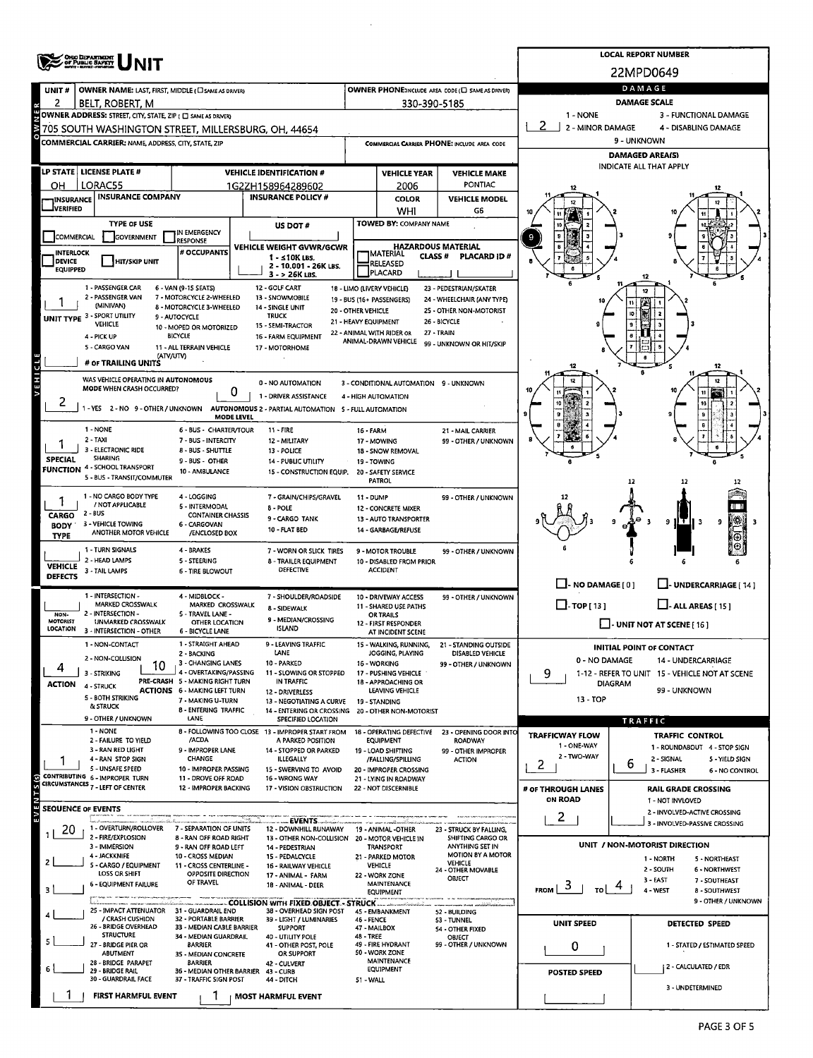|                                  |                                                                                                                                                                                                                                                                                                                                                                                                                                                                                                                                                                                                                                                                                                                                                                                                                                                                                                                                                                                                                                                                                                                                                                                                                                                                                                                                                                                                                                                                                                                                                                                                                                                                                                                                                                                                                                                                                                                                                                                                                                                                                                                                                                                                                                                                                                                                                                                                                                                                                                                                                                                                                                                                                                                                                                                                                                                                                                                                                                                                                                                                                                                                                                                                                                                                                                                                                                                                                                                                                                                                                                                                                                                                                                                                                                                                                                                                                                                                                                                                                                                                                                                                                                                                                                                                                                                                                                                                                                                                                                                                                                                                                                                                                                                                                                                                                                                                                                                                                                                                                                                                                                                                                                                                                                                                                                                                                                                                                                                                                                                                                                                                                                                                                             |                                                     | <b>LOCAL REPORT NUMBER</b>                         |                  |                                                                                                                                                                                                                                                                                                                                                                                                                                                                                                                     |                      |                                                                                                                                                                                                                                                                                                                                                                                                                                                                                                                                                                                                                                                                                                                                                                                                                                                                                                                       |  |  |  |  |  |  |  |  |
|----------------------------------|---------------------------------------------------------------------------------------------------------------------------------------------------------------------------------------------------------------------------------------------------------------------------------------------------------------------------------------------------------------------------------------------------------------------------------------------------------------------------------------------------------------------------------------------------------------------------------------------------------------------------------------------------------------------------------------------------------------------------------------------------------------------------------------------------------------------------------------------------------------------------------------------------------------------------------------------------------------------------------------------------------------------------------------------------------------------------------------------------------------------------------------------------------------------------------------------------------------------------------------------------------------------------------------------------------------------------------------------------------------------------------------------------------------------------------------------------------------------------------------------------------------------------------------------------------------------------------------------------------------------------------------------------------------------------------------------------------------------------------------------------------------------------------------------------------------------------------------------------------------------------------------------------------------------------------------------------------------------------------------------------------------------------------------------------------------------------------------------------------------------------------------------------------------------------------------------------------------------------------------------------------------------------------------------------------------------------------------------------------------------------------------------------------------------------------------------------------------------------------------------------------------------------------------------------------------------------------------------------------------------------------------------------------------------------------------------------------------------------------------------------------------------------------------------------------------------------------------------------------------------------------------------------------------------------------------------------------------------------------------------------------------------------------------------------------------------------------------------------------------------------------------------------------------------------------------------------------------------------------------------------------------------------------------------------------------------------------------------------------------------------------------------------------------------------------------------------------------------------------------------------------------------------------------------------------------------------------------------------------------------------------------------------------------------------------------------------------------------------------------------------------------------------------------------------------------------------------------------------------------------------------------------------------------------------------------------------------------------------------------------------------------------------------------------------------------------------------------------------------------------------------------------------------------------------------------------------------------------------------------------------------------------------------------------------------------------------------------------------------------------------------------------------------------------------------------------------------------------------------------------------------------------------------------------------------------------------------------------------------------------------------------------------------------------------------------------------------------------------------------------------------------------------------------------------------------------------------------------------------------------------------------------------------------------------------------------------------------------------------------------------------------------------------------------------------------------------------------------------------------------------------------------------------------------------------------------------------------------------------------------------------------------------------------------------------------------------------------------------------------------------------------------------------------------------------------------------------------------------------------------------------------------------------------------------------------------------------------------------------------------------------------------------------------------------------------------|-----------------------------------------------------|----------------------------------------------------|------------------|---------------------------------------------------------------------------------------------------------------------------------------------------------------------------------------------------------------------------------------------------------------------------------------------------------------------------------------------------------------------------------------------------------------------------------------------------------------------------------------------------------------------|----------------------|-----------------------------------------------------------------------------------------------------------------------------------------------------------------------------------------------------------------------------------------------------------------------------------------------------------------------------------------------------------------------------------------------------------------------------------------------------------------------------------------------------------------------------------------------------------------------------------------------------------------------------------------------------------------------------------------------------------------------------------------------------------------------------------------------------------------------------------------------------------------------------------------------------------------------|--|--|--|--|--|--|--|--|
|                                  |                                                                                                                                                                                                                                                                                                                                                                                                                                                                                                                                                                                                                                                                                                                                                                                                                                                                                                                                                                                                                                                                                                                                                                                                                                                                                                                                                                                                                                                                                                                                                                                                                                                                                                                                                                                                                                                                                                                                                                                                                                                                                                                                                                                                                                                                                                                                                                                                                                                                                                                                                                                                                                                                                                                                                                                                                                                                                                                                                                                                                                                                                                                                                                                                                                                                                                                                                                                                                                                                                                                                                                                                                                                                                                                                                                                                                                                                                                                                                                                                                                                                                                                                                                                                                                                                                                                                                                                                                                                                                                                                                                                                                                                                                                                                                                                                                                                                                                                                                                                                                                                                                                                                                                                                                                                                                                                                                                                                                                                                                                                                                                                                                                                                                             |                                                     |                                                    |                  |                                                                                                                                                                                                                                                                                                                                                                                                                                                                                                                     |                      |                                                                                                                                                                                                                                                                                                                                                                                                                                                                                                                                                                                                                                                                                                                                                                                                                                                                                                                       |  |  |  |  |  |  |  |  |
| UNIT#                            |                                                                                                                                                                                                                                                                                                                                                                                                                                                                                                                                                                                                                                                                                                                                                                                                                                                                                                                                                                                                                                                                                                                                                                                                                                                                                                                                                                                                                                                                                                                                                                                                                                                                                                                                                                                                                                                                                                                                                                                                                                                                                                                                                                                                                                                                                                                                                                                                                                                                                                                                                                                                                                                                                                                                                                                                                                                                                                                                                                                                                                                                                                                                                                                                                                                                                                                                                                                                                                                                                                                                                                                                                                                                                                                                                                                                                                                                                                                                                                                                                                                                                                                                                                                                                                                                                                                                                                                                                                                                                                                                                                                                                                                                                                                                                                                                                                                                                                                                                                                                                                                                                                                                                                                                                                                                                                                                                                                                                                                                                                                                                                                                                                                                                             |                                                     |                                                    |                  |                                                                                                                                                                                                                                                                                                                                                                                                                                                                                                                     |                      | DAMAGE                                                                                                                                                                                                                                                                                                                                                                                                                                                                                                                                                                                                                                                                                                                                                                                                                                                                                                                |  |  |  |  |  |  |  |  |
| 2                                | BELT, ROBERT, M                                                                                                                                                                                                                                                                                                                                                                                                                                                                                                                                                                                                                                                                                                                                                                                                                                                                                                                                                                                                                                                                                                                                                                                                                                                                                                                                                                                                                                                                                                                                                                                                                                                                                                                                                                                                                                                                                                                                                                                                                                                                                                                                                                                                                                                                                                                                                                                                                                                                                                                                                                                                                                                                                                                                                                                                                                                                                                                                                                                                                                                                                                                                                                                                                                                                                                                                                                                                                                                                                                                                                                                                                                                                                                                                                                                                                                                                                                                                                                                                                                                                                                                                                                                                                                                                                                                                                                                                                                                                                                                                                                                                                                                                                                                                                                                                                                                                                                                                                                                                                                                                                                                                                                                                                                                                                                                                                                                                                                                                                                                                                                                                                                                                             |                                                     |                                                    |                  |                                                                                                                                                                                                                                                                                                                                                                                                                                                                                                                     |                      |                                                                                                                                                                                                                                                                                                                                                                                                                                                                                                                                                                                                                                                                                                                                                                                                                                                                                                                       |  |  |  |  |  |  |  |  |
|                                  |                                                                                                                                                                                                                                                                                                                                                                                                                                                                                                                                                                                                                                                                                                                                                                                                                                                                                                                                                                                                                                                                                                                                                                                                                                                                                                                                                                                                                                                                                                                                                                                                                                                                                                                                                                                                                                                                                                                                                                                                                                                                                                                                                                                                                                                                                                                                                                                                                                                                                                                                                                                                                                                                                                                                                                                                                                                                                                                                                                                                                                                                                                                                                                                                                                                                                                                                                                                                                                                                                                                                                                                                                                                                                                                                                                                                                                                                                                                                                                                                                                                                                                                                                                                                                                                                                                                                                                                                                                                                                                                                                                                                                                                                                                                                                                                                                                                                                                                                                                                                                                                                                                                                                                                                                                                                                                                                                                                                                                                                                                                                                                                                                                                                                             |                                                     |                                                    |                  |                                                                                                                                                                                                                                                                                                                                                                                                                                                                                                                     |                      | 2 <sup>1</sup>                                                                                                                                                                                                                                                                                                                                                                                                                                                                                                                                                                                                                                                                                                                                                                                                                                                                                                        |  |  |  |  |  |  |  |  |
|                                  |                                                                                                                                                                                                                                                                                                                                                                                                                                                                                                                                                                                                                                                                                                                                                                                                                                                                                                                                                                                                                                                                                                                                                                                                                                                                                                                                                                                                                                                                                                                                                                                                                                                                                                                                                                                                                                                                                                                                                                                                                                                                                                                                                                                                                                                                                                                                                                                                                                                                                                                                                                                                                                                                                                                                                                                                                                                                                                                                                                                                                                                                                                                                                                                                                                                                                                                                                                                                                                                                                                                                                                                                                                                                                                                                                                                                                                                                                                                                                                                                                                                                                                                                                                                                                                                                                                                                                                                                                                                                                                                                                                                                                                                                                                                                                                                                                                                                                                                                                                                                                                                                                                                                                                                                                                                                                                                                                                                                                                                                                                                                                                                                                                                                                             |                                                     |                                                    |                  |                                                                                                                                                                                                                                                                                                                                                                                                                                                                                                                     |                      | 9 - UNKNOWN                                                                                                                                                                                                                                                                                                                                                                                                                                                                                                                                                                                                                                                                                                                                                                                                                                                                                                           |  |  |  |  |  |  |  |  |
|                                  |                                                                                                                                                                                                                                                                                                                                                                                                                                                                                                                                                                                                                                                                                                                                                                                                                                                                                                                                                                                                                                                                                                                                                                                                                                                                                                                                                                                                                                                                                                                                                                                                                                                                                                                                                                                                                                                                                                                                                                                                                                                                                                                                                                                                                                                                                                                                                                                                                                                                                                                                                                                                                                                                                                                                                                                                                                                                                                                                                                                                                                                                                                                                                                                                                                                                                                                                                                                                                                                                                                                                                                                                                                                                                                                                                                                                                                                                                                                                                                                                                                                                                                                                                                                                                                                                                                                                                                                                                                                                                                                                                                                                                                                                                                                                                                                                                                                                                                                                                                                                                                                                                                                                                                                                                                                                                                                                                                                                                                                                                                                                                                                                                                                                                             |                                                     |                                                    |                  |                                                                                                                                                                                                                                                                                                                                                                                                                                                                                                                     |                      | <b>DAMAGED AREA(S)</b>                                                                                                                                                                                                                                                                                                                                                                                                                                                                                                                                                                                                                                                                                                                                                                                                                                                                                                |  |  |  |  |  |  |  |  |
|                                  | LP STATE   LICENSE PLATE #                                                                                                                                                                                                                                                                                                                                                                                                                                                                                                                                                                                                                                                                                                                                                                                                                                                                                                                                                                                                                                                                                                                                                                                                                                                                                                                                                                                                                                                                                                                                                                                                                                                                                                                                                                                                                                                                                                                                                                                                                                                                                                                                                                                                                                                                                                                                                                                                                                                                                                                                                                                                                                                                                                                                                                                                                                                                                                                                                                                                                                                                                                                                                                                                                                                                                                                                                                                                                                                                                                                                                                                                                                                                                                                                                                                                                                                                                                                                                                                                                                                                                                                                                                                                                                                                                                                                                                                                                                                                                                                                                                                                                                                                                                                                                                                                                                                                                                                                                                                                                                                                                                                                                                                                                                                                                                                                                                                                                                                                                                                                                                                                                                                                  |                                                     |                                                    |                  |                                                                                                                                                                                                                                                                                                                                                                                                                                                                                                                     |                      |                                                                                                                                                                                                                                                                                                                                                                                                                                                                                                                                                                                                                                                                                                                                                                                                                                                                                                                       |  |  |  |  |  |  |  |  |
| он                               | LORAC55                                                                                                                                                                                                                                                                                                                                                                                                                                                                                                                                                                                                                                                                                                                                                                                                                                                                                                                                                                                                                                                                                                                                                                                                                                                                                                                                                                                                                                                                                                                                                                                                                                                                                                                                                                                                                                                                                                                                                                                                                                                                                                                                                                                                                                                                                                                                                                                                                                                                                                                                                                                                                                                                                                                                                                                                                                                                                                                                                                                                                                                                                                                                                                                                                                                                                                                                                                                                                                                                                                                                                                                                                                                                                                                                                                                                                                                                                                                                                                                                                                                                                                                                                                                                                                                                                                                                                                                                                                                                                                                                                                                                                                                                                                                                                                                                                                                                                                                                                                                                                                                                                                                                                                                                                                                                                                                                                                                                                                                                                                                                                                                                                                                                                     |                                                     |                                                    |                  | 2006                                                                                                                                                                                                                                                                                                                                                                                                                                                                                                                | PONTIAC              |                                                                                                                                                                                                                                                                                                                                                                                                                                                                                                                                                                                                                                                                                                                                                                                                                                                                                                                       |  |  |  |  |  |  |  |  |
| INSURANCE                        |                                                                                                                                                                                                                                                                                                                                                                                                                                                                                                                                                                                                                                                                                                                                                                                                                                                                                                                                                                                                                                                                                                                                                                                                                                                                                                                                                                                                                                                                                                                                                                                                                                                                                                                                                                                                                                                                                                                                                                                                                                                                                                                                                                                                                                                                                                                                                                                                                                                                                                                                                                                                                                                                                                                                                                                                                                                                                                                                                                                                                                                                                                                                                                                                                                                                                                                                                                                                                                                                                                                                                                                                                                                                                                                                                                                                                                                                                                                                                                                                                                                                                                                                                                                                                                                                                                                                                                                                                                                                                                                                                                                                                                                                                                                                                                                                                                                                                                                                                                                                                                                                                                                                                                                                                                                                                                                                                                                                                                                                                                                                                                                                                                                                                             |                                                     |                                                    |                  | <b>COLOR</b>                                                                                                                                                                                                                                                                                                                                                                                                                                                                                                        | <b>VEHICLE MODEL</b> |                                                                                                                                                                                                                                                                                                                                                                                                                                                                                                                                                                                                                                                                                                                                                                                                                                                                                                                       |  |  |  |  |  |  |  |  |
| <b>IVERIFIED</b>                 |                                                                                                                                                                                                                                                                                                                                                                                                                                                                                                                                                                                                                                                                                                                                                                                                                                                                                                                                                                                                                                                                                                                                                                                                                                                                                                                                                                                                                                                                                                                                                                                                                                                                                                                                                                                                                                                                                                                                                                                                                                                                                                                                                                                                                                                                                                                                                                                                                                                                                                                                                                                                                                                                                                                                                                                                                                                                                                                                                                                                                                                                                                                                                                                                                                                                                                                                                                                                                                                                                                                                                                                                                                                                                                                                                                                                                                                                                                                                                                                                                                                                                                                                                                                                                                                                                                                                                                                                                                                                                                                                                                                                                                                                                                                                                                                                                                                                                                                                                                                                                                                                                                                                                                                                                                                                                                                                                                                                                                                                                                                                                                                                                                                                                             |                                                     |                                                    |                  |                                                                                                                                                                                                                                                                                                                                                                                                                                                                                                                     |                      |                                                                                                                                                                                                                                                                                                                                                                                                                                                                                                                                                                                                                                                                                                                                                                                                                                                                                                                       |  |  |  |  |  |  |  |  |
| COMMERCIAL                       |                                                                                                                                                                                                                                                                                                                                                                                                                                                                                                                                                                                                                                                                                                                                                                                                                                                                                                                                                                                                                                                                                                                                                                                                                                                                                                                                                                                                                                                                                                                                                                                                                                                                                                                                                                                                                                                                                                                                                                                                                                                                                                                                                                                                                                                                                                                                                                                                                                                                                                                                                                                                                                                                                                                                                                                                                                                                                                                                                                                                                                                                                                                                                                                                                                                                                                                                                                                                                                                                                                                                                                                                                                                                                                                                                                                                                                                                                                                                                                                                                                                                                                                                                                                                                                                                                                                                                                                                                                                                                                                                                                                                                                                                                                                                                                                                                                                                                                                                                                                                                                                                                                                                                                                                                                                                                                                                                                                                                                                                                                                                                                                                                                                                                             | IN EMERGENCY                                        |                                                    |                  |                                                                                                                                                                                                                                                                                                                                                                                                                                                                                                                     |                      | $\pmb{v}$                                                                                                                                                                                                                                                                                                                                                                                                                                                                                                                                                                                                                                                                                                                                                                                                                                                                                                             |  |  |  |  |  |  |  |  |
| <b>INTERLOCK</b>                 |                                                                                                                                                                                                                                                                                                                                                                                                                                                                                                                                                                                                                                                                                                                                                                                                                                                                                                                                                                                                                                                                                                                                                                                                                                                                                                                                                                                                                                                                                                                                                                                                                                                                                                                                                                                                                                                                                                                                                                                                                                                                                                                                                                                                                                                                                                                                                                                                                                                                                                                                                                                                                                                                                                                                                                                                                                                                                                                                                                                                                                                                                                                                                                                                                                                                                                                                                                                                                                                                                                                                                                                                                                                                                                                                                                                                                                                                                                                                                                                                                                                                                                                                                                                                                                                                                                                                                                                                                                                                                                                                                                                                                                                                                                                                                                                                                                                                                                                                                                                                                                                                                                                                                                                                                                                                                                                                                                                                                                                                                                                                                                                                                                                                                             | # OCCUPANTS                                         |                                                    |                  |                                                                                                                                                                                                                                                                                                                                                                                                                                                                                                                     |                      | <b>DAMAGE SCALE</b><br>1 - NONE<br>3 - FUNCTIONAL DAMAGE<br>2 - MINOR DAMAGE<br>4 - DISABLING DAMAGE<br>INDICATE ALL THAT APPLY<br>9<br><b>IO</b><br>12<br>12<br>12<br>9<br>ΙŦ<br>9<br>$\Box$ - NO DAMAGE [ 0 ]<br>L- UNDERCARRIAGE (14)<br>$\Box$ -TOP[13]<br>$\Box$ - ALL AREAS [ 15 ]<br>$\Box$ - UNIT NOT AT SCENE [ 16 ]<br><b>INITIAL POINT OF CONTACT</b><br>0 - NO DAMAGE<br>14 - UNDERCARRIAGE<br>9<br>1-12 - REFER TO UNIT 15 - VEHICLE NOT AT SCENE<br><b>DIAGRAM</b><br>99 - UNKNOWN<br>13 - TOP<br><b>TRAFFIC</b><br>TRAFFICWAY FLOW<br><b>TRAFFIC CONTROL</b><br>1 - ONE-WAY<br>1 - ROUNDABOUT 4 - STOP SIGN<br>2 - TWO-WAY<br>2 - SIGNAL<br>5 - YIELD SIGN<br>2<br>6<br>3 - FLASHER<br>6 - NO CONTROL<br># OF THROUGH LANES<br><b>RAIL GRADE CROSSING</b><br><b>ON ROAD</b><br>1 - NOT INVLOVED<br>2 - INVOLVED-ACTIVE CROSSING<br>2<br>3 - INVOLVED-PASSIVE CROSSING<br>UNIT / NON-MOTORIST DIRECTION |  |  |  |  |  |  |  |  |
| <b>DEVICE</b><br><b>EQUIPPED</b> | <b>HIT/SKIP UNIT</b>                                                                                                                                                                                                                                                                                                                                                                                                                                                                                                                                                                                                                                                                                                                                                                                                                                                                                                                                                                                                                                                                                                                                                                                                                                                                                                                                                                                                                                                                                                                                                                                                                                                                                                                                                                                                                                                                                                                                                                                                                                                                                                                                                                                                                                                                                                                                                                                                                                                                                                                                                                                                                                                                                                                                                                                                                                                                                                                                                                                                                                                                                                                                                                                                                                                                                                                                                                                                                                                                                                                                                                                                                                                                                                                                                                                                                                                                                                                                                                                                                                                                                                                                                                                                                                                                                                                                                                                                                                                                                                                                                                                                                                                                                                                                                                                                                                                                                                                                                                                                                                                                                                                                                                                                                                                                                                                                                                                                                                                                                                                                                                                                                                                                        |                                                     | 2 - 10.001 - 26K LBS.                              |                  |                                                                                                                                                                                                                                                                                                                                                                                                                                                                                                                     |                      |                                                                                                                                                                                                                                                                                                                                                                                                                                                                                                                                                                                                                                                                                                                                                                                                                                                                                                                       |  |  |  |  |  |  |  |  |
|                                  | ONO DEPARTMENT<br>OF PUBLIC SAFETY<br>WWW.sayer.com/en/<br>22MPD0649<br>OWNER PHONE:INCLUDE AREA CODE (E) SAME AS DRIVER)<br>OWNER NAME: LAST, FIRST, MIDDLE ( C SAME AS DRIVER)<br>330-390-5185<br>OWNER ADDRESS: STREET, CITY, STATE, ZIP ( C SAME AS DRIVER)<br>705 SOUTH WASHINGTON STREET, MILLERSBURG, OH, 44654<br>COMMERCIAL CARRIER: NAME, ADDRESS, CITY, STATE, ZIP<br><b>COMMERCIAL CARRIER PHONE: INCLUDE AREA CODE</b><br><b>VEHICLE IDENTIFICATION #</b><br><b>VEHICLE YEAR</b><br><b>VEHICLE MAKE</b><br>1G2ZH158964289602<br><b>INSURANCE COMPANY</b><br><b>INSURANCE POLICY #</b><br>WHI<br>G6<br>TOWED BY: COMPANY NAME<br><b>TYPE OF USE</b><br>US DOT#<br><b>GOVERNMENT</b><br><b>RESPONSE</b><br><b>HAZARDOUS MATERIAL</b><br>VEHICLE WEIGHT GVWR/GCWR<br>MATERIAL<br><b>CLASS#</b><br><b>PLACARD ID#</b><br>$1 - 510K$ LBS.<br>RELEASED<br>PLACARD<br>3 - > 26K LBS.<br>1 - PASSENGER CAR<br>6 - VAN (9-15 SEATS)<br>12 - GOLF CART<br>23 - PEDESTRIAN/SKATER<br>18 - LIMO (LIVERY VEHICLE)<br>7 - MOTORCYCLE 2-WHEELED<br>13 - SNOWMOBILE<br>24 - WHEELCHAIR (ANY TYPE)<br>19 - BUS (16+ PASSENGERS)<br>(MINIVAN)<br>8 - MOTORCYCLE 3-WHEELED<br>14 - SINGLE UNIT<br>20 - OTHER VEHICLE<br>25 - OTHER NON-MOTORIST<br><b>UNIT TYPE 3 - SPORT UTILITY</b><br><b>TRUCK</b><br>9 - AUTOCYCLE<br>21 - HEAVY EQUIPMENT<br>26 - BICYCLE<br>VEHICLE<br>15 - SEMI-TRACTOR<br>10 - MOPED OR MOTORIZED<br>22 - ANIMAL WITH RIDER OR<br>27 - TRAIN<br><b>BICYCLE</b><br>4 - PICK UP<br>16 - FARM EQUIPMENT<br>ANIMAL-DRAWN VEHICLE<br>99 - UNKNOWN OR HIT/SKIP<br>11 - ALL TERRAIN VEHICLE<br>17 - MOTORHOME<br>(ATV/UTV)<br>WAS VEHICLE OPERATING IN AUTONOMOUS<br>0 - NO AUTOMATION<br>3 - CONDITIONAL AUTOMATION 9 - UNKNOWN<br>MODE WHEN CRASH OCCURRED?<br>0<br>1 - DRIVER ASSISTANCE<br>4 - HIGH AUTOMATION<br>1 - YES 2 - NO 9 - OTHER / UNKNOWN AUTONOMOUS 2 - PARTIAL AUTOMATION 5 - FULL AUTOMATION<br>MODE LEVEL<br>1 - NONE<br>6 - BUS - CHARTER/TOUR<br>$11 - FIRE$<br><b>16 - FARM</b><br>21 - MAIL CARRIER<br>7 - BUS - INTERCITY<br>12 - MILITARY<br>99 - OTHER / UNKNOWN<br>17 - MOWING<br>8 - BUS - SHUTTLE<br>13 - POLICE<br>18 - SNOW REMOVAL<br><b>SHARING</b><br>9 - BUS - OTHER<br>14 - PUBLIC UTILITY<br>19 - TOWING<br>10 - AMBULANCE<br>15 - CONSTRUCTION EQUIP.<br>20 - SAFETY SERVICE<br>5 - BUS - TRANSIT/COMMUTER<br>PATROL<br>1 - NO CARGO BODY TYPE<br>4 - LOGGING<br>7 - GRAIN/CHIPS/GRAVEL<br>11 - DUMP<br>99 - OTHER / UNKNOWN<br>/ NOT APPLICABLE<br>5 - INTERMODAL<br>8 - POLE<br>12 - CONCRETE MIXER<br><b>CONTAINER CHASSIS</b><br>9 - CARGO TANK<br>13 - AUTO TRANSPORTER<br>3 - VEHICLE TOWING<br>6 - CARGOVAN<br>10 - FLAT BED<br>14 - GARBAGE/REFUSE<br>ANOTHER MOTOR VEHICLE<br>/ENCLOSED BOX<br>4 - BRAKES<br>7 - WORN OR SLICK TIRES<br>9 - MOTOR TROUBLE<br>99 - OTHER / UNKNOWN<br>2 - HEAD LAMPS<br>5 - STEERING<br>8 - TRAILER EQUIPMENT<br>10 - DISABLED FROM PRIOR<br><b>DEFECTIVE</b><br><b>ACCIDENT</b><br>3 - TAIL LAMPS<br><b>6 - TIRE BLOWOUT</b><br>4 - MIDBLOCK -<br>7 - SHOULDER/ROADSIDE<br>10 - DRIVEWAY ACCESS<br>99 - OTHER / UNKNOWN<br>MARKED CROSSWALK<br>MARKED CROSSWALK<br><b>11 - SHARED USE PATHS</b><br>8 - SIDEWALK<br>5 - TRAVEL LANE -<br>OR TRAILS<br>9 - MEDIAN/CROSSING<br>UNMARKED CROSSWALK<br>OTHER LOCATION<br>12 - FIRST RESPONDER<br><b>ISLAND</b><br>6 - BICYCLE LANE<br>AT INCIDENT SCENE<br>1 - STRAIGHT AHEAD<br><b>LEAVING TRAFFIC</b><br>15 - WALKING, RUNNING,<br>21 - STANDING OUTSIDE<br>LANE<br>JOGGING, PLAYING<br><b>DISABLED VEHICLE</b><br>2 - BACKING<br>3 - CHANGING LANES<br>10 - PARKED<br>16 - WORKING<br>99 - OTHER / UNKNOWN<br>10<br>4 - OVERTAKING/PASSING<br>11 - SLOWING OR STOPPED<br>17 - PUSHING VEHICLE<br>PRE-CRASH 5 - MAKING RIGHT TURN<br>IN TRAFFIC<br>18 - APPROACHING OR<br>4 - STRUCK<br><b>ACTIONS 6 - MAKING LEFT TURN</b><br>LEAVING VEHICLE<br>12 - DRIVERLESS<br>5 - BOTH STRIKING<br>7 - MAKING U-TURN<br>13 - NEGOTIATING A CURVE<br>19 - STANDING<br><b>&amp; STRUCK</b><br>8 - ENTERING TRAFFIC<br>14 - ENTERING OR CROSSING<br>20 - OTHER NON-MOTORIST<br>9 - OTHER / UNKNOWN<br>LANE<br>SPECIFIED LOCATION<br>1 - NONE<br>8 - FOLLOWING TOO CLOSE 13 - IMPROPER START FROM<br>18 - OPERATING DEFECTIVE 23 - OPENING DOOR INTO<br>/ACDA<br>2 - FAILURE TO YIELD<br>A PARKED POSITION<br><b>EQUIPMENT</b><br><b>ROADWAY</b><br>3 - RAN RED LIGHT<br>9 - IMPROPER LANE<br>14 - STOPPED OR PARKED<br>19 - LOAD SHIFTING<br>99 - OTHER IMPROPER<br>4 - RAN STOP SIGN<br><b>CHANGE</b><br>ILLEGALLY<br>/FALLING/SPILLING<br><b>ACTION</b><br>5 - UNSAFE SPEED<br>10 - IMPROPER PASSING<br>15 - SWERVING TO AVOID<br>20 - IMPROPER CROSSING<br>CONTRIBUTING 6 - IMPROPER TURN<br>11 - DROVE OFF ROAD<br>16 - WRONG WAY<br>21 - LYING IN ROADWAY<br>CIRCUMSTANCES 7 - LEFT OF CENTER<br>12 - IMPROPER BACKING<br>17 - VISION OBSTRUCTION<br>22 - NOT DISCERNIBLE<br>. EVENTS.<br>1 - OVERTURN/ROLLOVER<br>7 - SEPARATION OF UNITS<br>12 - DOWNHILL RUNAWAY<br>19 - ANIMAL -OTHER<br>23 - STRUCK BY FALLING,<br>2 - FIRE/EXPLOSION<br>8 - RAN OFF ROAD RIGHT<br>13 - OTHER NON-COLLISION 20 - MOTOR VEHICLE IN<br>SHIFTING CARGO OR<br>3 - IMMERSION<br>ANYTHING SET IN<br>9 - RAN OFF ROAD LEFT<br>14 - PEDESTRIAN<br><b>TRANSPORT</b><br><b>MOTION BY A MOTOR</b><br><b>4 - JACKKNIFE</b><br>10 - CROSS MEDIAN<br>15 - PEDALCYCLE<br>21 - PARKED MOTOR<br>1 - NORTH<br>5 - NORTHEAST<br><b>VEHICLE</b><br>5 - CARGO / EQUIPMENT<br>11 - CROSS CENTERLINE -<br>VEHICLE<br>16 - RAILWAY VEHICLE<br>2 - SOUTH<br>24 - OTHER MOVABLE<br>6 - NORTHWEST<br><b>LOSS OR SHIFT</b><br>OPPOSITE DIRECTION<br>17 - ANIMAL - FARM<br>22 - WORK ZONE<br>OBJECT |                                                     |                                                    |                  |                                                                                                                                                                                                                                                                                                                                                                                                                                                                                                                     |                      |                                                                                                                                                                                                                                                                                                                                                                                                                                                                                                                                                                                                                                                                                                                                                                                                                                                                                                                       |  |  |  |  |  |  |  |  |
|                                  | 2 - PASSENGER VAN                                                                                                                                                                                                                                                                                                                                                                                                                                                                                                                                                                                                                                                                                                                                                                                                                                                                                                                                                                                                                                                                                                                                                                                                                                                                                                                                                                                                                                                                                                                                                                                                                                                                                                                                                                                                                                                                                                                                                                                                                                                                                                                                                                                                                                                                                                                                                                                                                                                                                                                                                                                                                                                                                                                                                                                                                                                                                                                                                                                                                                                                                                                                                                                                                                                                                                                                                                                                                                                                                                                                                                                                                                                                                                                                                                                                                                                                                                                                                                                                                                                                                                                                                                                                                                                                                                                                                                                                                                                                                                                                                                                                                                                                                                                                                                                                                                                                                                                                                                                                                                                                                                                                                                                                                                                                                                                                                                                                                                                                                                                                                                                                                                                                           |                                                     |                                                    |                  |                                                                                                                                                                                                                                                                                                                                                                                                                                                                                                                     |                      |                                                                                                                                                                                                                                                                                                                                                                                                                                                                                                                                                                                                                                                                                                                                                                                                                                                                                                                       |  |  |  |  |  |  |  |  |
|                                  |                                                                                                                                                                                                                                                                                                                                                                                                                                                                                                                                                                                                                                                                                                                                                                                                                                                                                                                                                                                                                                                                                                                                                                                                                                                                                                                                                                                                                                                                                                                                                                                                                                                                                                                                                                                                                                                                                                                                                                                                                                                                                                                                                                                                                                                                                                                                                                                                                                                                                                                                                                                                                                                                                                                                                                                                                                                                                                                                                                                                                                                                                                                                                                                                                                                                                                                                                                                                                                                                                                                                                                                                                                                                                                                                                                                                                                                                                                                                                                                                                                                                                                                                                                                                                                                                                                                                                                                                                                                                                                                                                                                                                                                                                                                                                                                                                                                                                                                                                                                                                                                                                                                                                                                                                                                                                                                                                                                                                                                                                                                                                                                                                                                                                             |                                                     |                                                    |                  |                                                                                                                                                                                                                                                                                                                                                                                                                                                                                                                     |                      |                                                                                                                                                                                                                                                                                                                                                                                                                                                                                                                                                                                                                                                                                                                                                                                                                                                                                                                       |  |  |  |  |  |  |  |  |
|                                  |                                                                                                                                                                                                                                                                                                                                                                                                                                                                                                                                                                                                                                                                                                                                                                                                                                                                                                                                                                                                                                                                                                                                                                                                                                                                                                                                                                                                                                                                                                                                                                                                                                                                                                                                                                                                                                                                                                                                                                                                                                                                                                                                                                                                                                                                                                                                                                                                                                                                                                                                                                                                                                                                                                                                                                                                                                                                                                                                                                                                                                                                                                                                                                                                                                                                                                                                                                                                                                                                                                                                                                                                                                                                                                                                                                                                                                                                                                                                                                                                                                                                                                                                                                                                                                                                                                                                                                                                                                                                                                                                                                                                                                                                                                                                                                                                                                                                                                                                                                                                                                                                                                                                                                                                                                                                                                                                                                                                                                                                                                                                                                                                                                                                                             |                                                     |                                                    |                  |                                                                                                                                                                                                                                                                                                                                                                                                                                                                                                                     |                      |                                                                                                                                                                                                                                                                                                                                                                                                                                                                                                                                                                                                                                                                                                                                                                                                                                                                                                                       |  |  |  |  |  |  |  |  |
|                                  | 5 - CARGO VAN                                                                                                                                                                                                                                                                                                                                                                                                                                                                                                                                                                                                                                                                                                                                                                                                                                                                                                                                                                                                                                                                                                                                                                                                                                                                                                                                                                                                                                                                                                                                                                                                                                                                                                                                                                                                                                                                                                                                                                                                                                                                                                                                                                                                                                                                                                                                                                                                                                                                                                                                                                                                                                                                                                                                                                                                                                                                                                                                                                                                                                                                                                                                                                                                                                                                                                                                                                                                                                                                                                                                                                                                                                                                                                                                                                                                                                                                                                                                                                                                                                                                                                                                                                                                                                                                                                                                                                                                                                                                                                                                                                                                                                                                                                                                                                                                                                                                                                                                                                                                                                                                                                                                                                                                                                                                                                                                                                                                                                                                                                                                                                                                                                                                               |                                                     |                                                    |                  |                                                                                                                                                                                                                                                                                                                                                                                                                                                                                                                     |                      |                                                                                                                                                                                                                                                                                                                                                                                                                                                                                                                                                                                                                                                                                                                                                                                                                                                                                                                       |  |  |  |  |  |  |  |  |
|                                  | # OF TRAILING UNITS                                                                                                                                                                                                                                                                                                                                                                                                                                                                                                                                                                                                                                                                                                                                                                                                                                                                                                                                                                                                                                                                                                                                                                                                                                                                                                                                                                                                                                                                                                                                                                                                                                                                                                                                                                                                                                                                                                                                                                                                                                                                                                                                                                                                                                                                                                                                                                                                                                                                                                                                                                                                                                                                                                                                                                                                                                                                                                                                                                                                                                                                                                                                                                                                                                                                                                                                                                                                                                                                                                                                                                                                                                                                                                                                                                                                                                                                                                                                                                                                                                                                                                                                                                                                                                                                                                                                                                                                                                                                                                                                                                                                                                                                                                                                                                                                                                                                                                                                                                                                                                                                                                                                                                                                                                                                                                                                                                                                                                                                                                                                                                                                                                                                         |                                                     |                                                    |                  |                                                                                                                                                                                                                                                                                                                                                                                                                                                                                                                     |                      |                                                                                                                                                                                                                                                                                                                                                                                                                                                                                                                                                                                                                                                                                                                                                                                                                                                                                                                       |  |  |  |  |  |  |  |  |
| <b>VEHICLE</b>                   |                                                                                                                                                                                                                                                                                                                                                                                                                                                                                                                                                                                                                                                                                                                                                                                                                                                                                                                                                                                                                                                                                                                                                                                                                                                                                                                                                                                                                                                                                                                                                                                                                                                                                                                                                                                                                                                                                                                                                                                                                                                                                                                                                                                                                                                                                                                                                                                                                                                                                                                                                                                                                                                                                                                                                                                                                                                                                                                                                                                                                                                                                                                                                                                                                                                                                                                                                                                                                                                                                                                                                                                                                                                                                                                                                                                                                                                                                                                                                                                                                                                                                                                                                                                                                                                                                                                                                                                                                                                                                                                                                                                                                                                                                                                                                                                                                                                                                                                                                                                                                                                                                                                                                                                                                                                                                                                                                                                                                                                                                                                                                                                                                                                                                             |                                                     |                                                    |                  |                                                                                                                                                                                                                                                                                                                                                                                                                                                                                                                     |                      |                                                                                                                                                                                                                                                                                                                                                                                                                                                                                                                                                                                                                                                                                                                                                                                                                                                                                                                       |  |  |  |  |  |  |  |  |
|                                  |                                                                                                                                                                                                                                                                                                                                                                                                                                                                                                                                                                                                                                                                                                                                                                                                                                                                                                                                                                                                                                                                                                                                                                                                                                                                                                                                                                                                                                                                                                                                                                                                                                                                                                                                                                                                                                                                                                                                                                                                                                                                                                                                                                                                                                                                                                                                                                                                                                                                                                                                                                                                                                                                                                                                                                                                                                                                                                                                                                                                                                                                                                                                                                                                                                                                                                                                                                                                                                                                                                                                                                                                                                                                                                                                                                                                                                                                                                                                                                                                                                                                                                                                                                                                                                                                                                                                                                                                                                                                                                                                                                                                                                                                                                                                                                                                                                                                                                                                                                                                                                                                                                                                                                                                                                                                                                                                                                                                                                                                                                                                                                                                                                                                                             |                                                     |                                                    |                  |                                                                                                                                                                                                                                                                                                                                                                                                                                                                                                                     |                      |                                                                                                                                                                                                                                                                                                                                                                                                                                                                                                                                                                                                                                                                                                                                                                                                                                                                                                                       |  |  |  |  |  |  |  |  |
|                                  |                                                                                                                                                                                                                                                                                                                                                                                                                                                                                                                                                                                                                                                                                                                                                                                                                                                                                                                                                                                                                                                                                                                                                                                                                                                                                                                                                                                                                                                                                                                                                                                                                                                                                                                                                                                                                                                                                                                                                                                                                                                                                                                                                                                                                                                                                                                                                                                                                                                                                                                                                                                                                                                                                                                                                                                                                                                                                                                                                                                                                                                                                                                                                                                                                                                                                                                                                                                                                                                                                                                                                                                                                                                                                                                                                                                                                                                                                                                                                                                                                                                                                                                                                                                                                                                                                                                                                                                                                                                                                                                                                                                                                                                                                                                                                                                                                                                                                                                                                                                                                                                                                                                                                                                                                                                                                                                                                                                                                                                                                                                                                                                                                                                                                             |                                                     |                                                    |                  |                                                                                                                                                                                                                                                                                                                                                                                                                                                                                                                     |                      |                                                                                                                                                                                                                                                                                                                                                                                                                                                                                                                                                                                                                                                                                                                                                                                                                                                                                                                       |  |  |  |  |  |  |  |  |
|                                  |                                                                                                                                                                                                                                                                                                                                                                                                                                                                                                                                                                                                                                                                                                                                                                                                                                                                                                                                                                                                                                                                                                                                                                                                                                                                                                                                                                                                                                                                                                                                                                                                                                                                                                                                                                                                                                                                                                                                                                                                                                                                                                                                                                                                                                                                                                                                                                                                                                                                                                                                                                                                                                                                                                                                                                                                                                                                                                                                                                                                                                                                                                                                                                                                                                                                                                                                                                                                                                                                                                                                                                                                                                                                                                                                                                                                                                                                                                                                                                                                                                                                                                                                                                                                                                                                                                                                                                                                                                                                                                                                                                                                                                                                                                                                                                                                                                                                                                                                                                                                                                                                                                                                                                                                                                                                                                                                                                                                                                                                                                                                                                                                                                                                                             |                                                     |                                                    |                  |                                                                                                                                                                                                                                                                                                                                                                                                                                                                                                                     |                      |                                                                                                                                                                                                                                                                                                                                                                                                                                                                                                                                                                                                                                                                                                                                                                                                                                                                                                                       |  |  |  |  |  |  |  |  |
|                                  | 2 - TAXI                                                                                                                                                                                                                                                                                                                                                                                                                                                                                                                                                                                                                                                                                                                                                                                                                                                                                                                                                                                                                                                                                                                                                                                                                                                                                                                                                                                                                                                                                                                                                                                                                                                                                                                                                                                                                                                                                                                                                                                                                                                                                                                                                                                                                                                                                                                                                                                                                                                                                                                                                                                                                                                                                                                                                                                                                                                                                                                                                                                                                                                                                                                                                                                                                                                                                                                                                                                                                                                                                                                                                                                                                                                                                                                                                                                                                                                                                                                                                                                                                                                                                                                                                                                                                                                                                                                                                                                                                                                                                                                                                                                                                                                                                                                                                                                                                                                                                                                                                                                                                                                                                                                                                                                                                                                                                                                                                                                                                                                                                                                                                                                                                                                                                    |                                                     |                                                    |                  |                                                                                                                                                                                                                                                                                                                                                                                                                                                                                                                     |                      |                                                                                                                                                                                                                                                                                                                                                                                                                                                                                                                                                                                                                                                                                                                                                                                                                                                                                                                       |  |  |  |  |  |  |  |  |
| <b>SPECIAL</b>                   | 3 - ELECTRONIC RIDE                                                                                                                                                                                                                                                                                                                                                                                                                                                                                                                                                                                                                                                                                                                                                                                                                                                                                                                                                                                                                                                                                                                                                                                                                                                                                                                                                                                                                                                                                                                                                                                                                                                                                                                                                                                                                                                                                                                                                                                                                                                                                                                                                                                                                                                                                                                                                                                                                                                                                                                                                                                                                                                                                                                                                                                                                                                                                                                                                                                                                                                                                                                                                                                                                                                                                                                                                                                                                                                                                                                                                                                                                                                                                                                                                                                                                                                                                                                                                                                                                                                                                                                                                                                                                                                                                                                                                                                                                                                                                                                                                                                                                                                                                                                                                                                                                                                                                                                                                                                                                                                                                                                                                                                                                                                                                                                                                                                                                                                                                                                                                                                                                                                                         |                                                     |                                                    |                  |                                                                                                                                                                                                                                                                                                                                                                                                                                                                                                                     |                      |                                                                                                                                                                                                                                                                                                                                                                                                                                                                                                                                                                                                                                                                                                                                                                                                                                                                                                                       |  |  |  |  |  |  |  |  |
|                                  | <b>FUNCTION 4 - SCHOOL TRANSPORT</b>                                                                                                                                                                                                                                                                                                                                                                                                                                                                                                                                                                                                                                                                                                                                                                                                                                                                                                                                                                                                                                                                                                                                                                                                                                                                                                                                                                                                                                                                                                                                                                                                                                                                                                                                                                                                                                                                                                                                                                                                                                                                                                                                                                                                                                                                                                                                                                                                                                                                                                                                                                                                                                                                                                                                                                                                                                                                                                                                                                                                                                                                                                                                                                                                                                                                                                                                                                                                                                                                                                                                                                                                                                                                                                                                                                                                                                                                                                                                                                                                                                                                                                                                                                                                                                                                                                                                                                                                                                                                                                                                                                                                                                                                                                                                                                                                                                                                                                                                                                                                                                                                                                                                                                                                                                                                                                                                                                                                                                                                                                                                                                                                                                                        |                                                     |                                                    |                  |                                                                                                                                                                                                                                                                                                                                                                                                                                                                                                                     |                      |                                                                                                                                                                                                                                                                                                                                                                                                                                                                                                                                                                                                                                                                                                                                                                                                                                                                                                                       |  |  |  |  |  |  |  |  |
|                                  |                                                                                                                                                                                                                                                                                                                                                                                                                                                                                                                                                                                                                                                                                                                                                                                                                                                                                                                                                                                                                                                                                                                                                                                                                                                                                                                                                                                                                                                                                                                                                                                                                                                                                                                                                                                                                                                                                                                                                                                                                                                                                                                                                                                                                                                                                                                                                                                                                                                                                                                                                                                                                                                                                                                                                                                                                                                                                                                                                                                                                                                                                                                                                                                                                                                                                                                                                                                                                                                                                                                                                                                                                                                                                                                                                                                                                                                                                                                                                                                                                                                                                                                                                                                                                                                                                                                                                                                                                                                                                                                                                                                                                                                                                                                                                                                                                                                                                                                                                                                                                                                                                                                                                                                                                                                                                                                                                                                                                                                                                                                                                                                                                                                                                             |                                                     |                                                    |                  |                                                                                                                                                                                                                                                                                                                                                                                                                                                                                                                     |                      |                                                                                                                                                                                                                                                                                                                                                                                                                                                                                                                                                                                                                                                                                                                                                                                                                                                                                                                       |  |  |  |  |  |  |  |  |
|                                  |                                                                                                                                                                                                                                                                                                                                                                                                                                                                                                                                                                                                                                                                                                                                                                                                                                                                                                                                                                                                                                                                                                                                                                                                                                                                                                                                                                                                                                                                                                                                                                                                                                                                                                                                                                                                                                                                                                                                                                                                                                                                                                                                                                                                                                                                                                                                                                                                                                                                                                                                                                                                                                                                                                                                                                                                                                                                                                                                                                                                                                                                                                                                                                                                                                                                                                                                                                                                                                                                                                                                                                                                                                                                                                                                                                                                                                                                                                                                                                                                                                                                                                                                                                                                                                                                                                                                                                                                                                                                                                                                                                                                                                                                                                                                                                                                                                                                                                                                                                                                                                                                                                                                                                                                                                                                                                                                                                                                                                                                                                                                                                                                                                                                                             |                                                     |                                                    |                  |                                                                                                                                                                                                                                                                                                                                                                                                                                                                                                                     |                      |                                                                                                                                                                                                                                                                                                                                                                                                                                                                                                                                                                                                                                                                                                                                                                                                                                                                                                                       |  |  |  |  |  |  |  |  |
| <b>CARGO</b>                     | 2 - BUS                                                                                                                                                                                                                                                                                                                                                                                                                                                                                                                                                                                                                                                                                                                                                                                                                                                                                                                                                                                                                                                                                                                                                                                                                                                                                                                                                                                                                                                                                                                                                                                                                                                                                                                                                                                                                                                                                                                                                                                                                                                                                                                                                                                                                                                                                                                                                                                                                                                                                                                                                                                                                                                                                                                                                                                                                                                                                                                                                                                                                                                                                                                                                                                                                                                                                                                                                                                                                                                                                                                                                                                                                                                                                                                                                                                                                                                                                                                                                                                                                                                                                                                                                                                                                                                                                                                                                                                                                                                                                                                                                                                                                                                                                                                                                                                                                                                                                                                                                                                                                                                                                                                                                                                                                                                                                                                                                                                                                                                                                                                                                                                                                                                                                     |                                                     |                                                    |                  |                                                                                                                                                                                                                                                                                                                                                                                                                                                                                                                     |                      |                                                                                                                                                                                                                                                                                                                                                                                                                                                                                                                                                                                                                                                                                                                                                                                                                                                                                                                       |  |  |  |  |  |  |  |  |
| <b>BODY</b><br><b>TYPE</b>       |                                                                                                                                                                                                                                                                                                                                                                                                                                                                                                                                                                                                                                                                                                                                                                                                                                                                                                                                                                                                                                                                                                                                                                                                                                                                                                                                                                                                                                                                                                                                                                                                                                                                                                                                                                                                                                                                                                                                                                                                                                                                                                                                                                                                                                                                                                                                                                                                                                                                                                                                                                                                                                                                                                                                                                                                                                                                                                                                                                                                                                                                                                                                                                                                                                                                                                                                                                                                                                                                                                                                                                                                                                                                                                                                                                                                                                                                                                                                                                                                                                                                                                                                                                                                                                                                                                                                                                                                                                                                                                                                                                                                                                                                                                                                                                                                                                                                                                                                                                                                                                                                                                                                                                                                                                                                                                                                                                                                                                                                                                                                                                                                                                                                                             |                                                     |                                                    |                  |                                                                                                                                                                                                                                                                                                                                                                                                                                                                                                                     |                      |                                                                                                                                                                                                                                                                                                                                                                                                                                                                                                                                                                                                                                                                                                                                                                                                                                                                                                                       |  |  |  |  |  |  |  |  |
|                                  | 1 - TURN SIGNALS                                                                                                                                                                                                                                                                                                                                                                                                                                                                                                                                                                                                                                                                                                                                                                                                                                                                                                                                                                                                                                                                                                                                                                                                                                                                                                                                                                                                                                                                                                                                                                                                                                                                                                                                                                                                                                                                                                                                                                                                                                                                                                                                                                                                                                                                                                                                                                                                                                                                                                                                                                                                                                                                                                                                                                                                                                                                                                                                                                                                                                                                                                                                                                                                                                                                                                                                                                                                                                                                                                                                                                                                                                                                                                                                                                                                                                                                                                                                                                                                                                                                                                                                                                                                                                                                                                                                                                                                                                                                                                                                                                                                                                                                                                                                                                                                                                                                                                                                                                                                                                                                                                                                                                                                                                                                                                                                                                                                                                                                                                                                                                                                                                                                            |                                                     |                                                    |                  |                                                                                                                                                                                                                                                                                                                                                                                                                                                                                                                     |                      |                                                                                                                                                                                                                                                                                                                                                                                                                                                                                                                                                                                                                                                                                                                                                                                                                                                                                                                       |  |  |  |  |  |  |  |  |
| <b>VEHICLE</b>                   |                                                                                                                                                                                                                                                                                                                                                                                                                                                                                                                                                                                                                                                                                                                                                                                                                                                                                                                                                                                                                                                                                                                                                                                                                                                                                                                                                                                                                                                                                                                                                                                                                                                                                                                                                                                                                                                                                                                                                                                                                                                                                                                                                                                                                                                                                                                                                                                                                                                                                                                                                                                                                                                                                                                                                                                                                                                                                                                                                                                                                                                                                                                                                                                                                                                                                                                                                                                                                                                                                                                                                                                                                                                                                                                                                                                                                                                                                                                                                                                                                                                                                                                                                                                                                                                                                                                                                                                                                                                                                                                                                                                                                                                                                                                                                                                                                                                                                                                                                                                                                                                                                                                                                                                                                                                                                                                                                                                                                                                                                                                                                                                                                                                                                             |                                                     |                                                    |                  |                                                                                                                                                                                                                                                                                                                                                                                                                                                                                                                     |                      |                                                                                                                                                                                                                                                                                                                                                                                                                                                                                                                                                                                                                                                                                                                                                                                                                                                                                                                       |  |  |  |  |  |  |  |  |
| <b>DEFECTS</b>                   |                                                                                                                                                                                                                                                                                                                                                                                                                                                                                                                                                                                                                                                                                                                                                                                                                                                                                                                                                                                                                                                                                                                                                                                                                                                                                                                                                                                                                                                                                                                                                                                                                                                                                                                                                                                                                                                                                                                                                                                                                                                                                                                                                                                                                                                                                                                                                                                                                                                                                                                                                                                                                                                                                                                                                                                                                                                                                                                                                                                                                                                                                                                                                                                                                                                                                                                                                                                                                                                                                                                                                                                                                                                                                                                                                                                                                                                                                                                                                                                                                                                                                                                                                                                                                                                                                                                                                                                                                                                                                                                                                                                                                                                                                                                                                                                                                                                                                                                                                                                                                                                                                                                                                                                                                                                                                                                                                                                                                                                                                                                                                                                                                                                                                             |                                                     |                                                    |                  |                                                                                                                                                                                                                                                                                                                                                                                                                                                                                                                     |                      |                                                                                                                                                                                                                                                                                                                                                                                                                                                                                                                                                                                                                                                                                                                                                                                                                                                                                                                       |  |  |  |  |  |  |  |  |
|                                  | 1 - INTERSECTION -                                                                                                                                                                                                                                                                                                                                                                                                                                                                                                                                                                                                                                                                                                                                                                                                                                                                                                                                                                                                                                                                                                                                                                                                                                                                                                                                                                                                                                                                                                                                                                                                                                                                                                                                                                                                                                                                                                                                                                                                                                                                                                                                                                                                                                                                                                                                                                                                                                                                                                                                                                                                                                                                                                                                                                                                                                                                                                                                                                                                                                                                                                                                                                                                                                                                                                                                                                                                                                                                                                                                                                                                                                                                                                                                                                                                                                                                                                                                                                                                                                                                                                                                                                                                                                                                                                                                                                                                                                                                                                                                                                                                                                                                                                                                                                                                                                                                                                                                                                                                                                                                                                                                                                                                                                                                                                                                                                                                                                                                                                                                                                                                                                                                          |                                                     |                                                    |                  |                                                                                                                                                                                                                                                                                                                                                                                                                                                                                                                     |                      |                                                                                                                                                                                                                                                                                                                                                                                                                                                                                                                                                                                                                                                                                                                                                                                                                                                                                                                       |  |  |  |  |  |  |  |  |
| NON-                             | 2 - INTERSECTION -                                                                                                                                                                                                                                                                                                                                                                                                                                                                                                                                                                                                                                                                                                                                                                                                                                                                                                                                                                                                                                                                                                                                                                                                                                                                                                                                                                                                                                                                                                                                                                                                                                                                                                                                                                                                                                                                                                                                                                                                                                                                                                                                                                                                                                                                                                                                                                                                                                                                                                                                                                                                                                                                                                                                                                                                                                                                                                                                                                                                                                                                                                                                                                                                                                                                                                                                                                                                                                                                                                                                                                                                                                                                                                                                                                                                                                                                                                                                                                                                                                                                                                                                                                                                                                                                                                                                                                                                                                                                                                                                                                                                                                                                                                                                                                                                                                                                                                                                                                                                                                                                                                                                                                                                                                                                                                                                                                                                                                                                                                                                                                                                                                                                          |                                                     |                                                    |                  |                                                                                                                                                                                                                                                                                                                                                                                                                                                                                                                     |                      |                                                                                                                                                                                                                                                                                                                                                                                                                                                                                                                                                                                                                                                                                                                                                                                                                                                                                                                       |  |  |  |  |  |  |  |  |
| <b>MOTORIST</b><br>LOCATION      | 3 - INTERSECTION - OTHER                                                                                                                                                                                                                                                                                                                                                                                                                                                                                                                                                                                                                                                                                                                                                                                                                                                                                                                                                                                                                                                                                                                                                                                                                                                                                                                                                                                                                                                                                                                                                                                                                                                                                                                                                                                                                                                                                                                                                                                                                                                                                                                                                                                                                                                                                                                                                                                                                                                                                                                                                                                                                                                                                                                                                                                                                                                                                                                                                                                                                                                                                                                                                                                                                                                                                                                                                                                                                                                                                                                                                                                                                                                                                                                                                                                                                                                                                                                                                                                                                                                                                                                                                                                                                                                                                                                                                                                                                                                                                                                                                                                                                                                                                                                                                                                                                                                                                                                                                                                                                                                                                                                                                                                                                                                                                                                                                                                                                                                                                                                                                                                                                                                                    |                                                     |                                                    |                  |                                                                                                                                                                                                                                                                                                                                                                                                                                                                                                                     |                      |                                                                                                                                                                                                                                                                                                                                                                                                                                                                                                                                                                                                                                                                                                                                                                                                                                                                                                                       |  |  |  |  |  |  |  |  |
|                                  | 1 - NON-CONTACT                                                                                                                                                                                                                                                                                                                                                                                                                                                                                                                                                                                                                                                                                                                                                                                                                                                                                                                                                                                                                                                                                                                                                                                                                                                                                                                                                                                                                                                                                                                                                                                                                                                                                                                                                                                                                                                                                                                                                                                                                                                                                                                                                                                                                                                                                                                                                                                                                                                                                                                                                                                                                                                                                                                                                                                                                                                                                                                                                                                                                                                                                                                                                                                                                                                                                                                                                                                                                                                                                                                                                                                                                                                                                                                                                                                                                                                                                                                                                                                                                                                                                                                                                                                                                                                                                                                                                                                                                                                                                                                                                                                                                                                                                                                                                                                                                                                                                                                                                                                                                                                                                                                                                                                                                                                                                                                                                                                                                                                                                                                                                                                                                                                                             |                                                     |                                                    |                  |                                                                                                                                                                                                                                                                                                                                                                                                                                                                                                                     |                      |                                                                                                                                                                                                                                                                                                                                                                                                                                                                                                                                                                                                                                                                                                                                                                                                                                                                                                                       |  |  |  |  |  |  |  |  |
| 4                                | 2 - NON-COLLISION                                                                                                                                                                                                                                                                                                                                                                                                                                                                                                                                                                                                                                                                                                                                                                                                                                                                                                                                                                                                                                                                                                                                                                                                                                                                                                                                                                                                                                                                                                                                                                                                                                                                                                                                                                                                                                                                                                                                                                                                                                                                                                                                                                                                                                                                                                                                                                                                                                                                                                                                                                                                                                                                                                                                                                                                                                                                                                                                                                                                                                                                                                                                                                                                                                                                                                                                                                                                                                                                                                                                                                                                                                                                                                                                                                                                                                                                                                                                                                                                                                                                                                                                                                                                                                                                                                                                                                                                                                                                                                                                                                                                                                                                                                                                                                                                                                                                                                                                                                                                                                                                                                                                                                                                                                                                                                                                                                                                                                                                                                                                                                                                                                                                           |                                                     |                                                    |                  |                                                                                                                                                                                                                                                                                                                                                                                                                                                                                                                     |                      |                                                                                                                                                                                                                                                                                                                                                                                                                                                                                                                                                                                                                                                                                                                                                                                                                                                                                                                       |  |  |  |  |  |  |  |  |
| <b>ACTION</b>                    | 3 - STRIKING                                                                                                                                                                                                                                                                                                                                                                                                                                                                                                                                                                                                                                                                                                                                                                                                                                                                                                                                                                                                                                                                                                                                                                                                                                                                                                                                                                                                                                                                                                                                                                                                                                                                                                                                                                                                                                                                                                                                                                                                                                                                                                                                                                                                                                                                                                                                                                                                                                                                                                                                                                                                                                                                                                                                                                                                                                                                                                                                                                                                                                                                                                                                                                                                                                                                                                                                                                                                                                                                                                                                                                                                                                                                                                                                                                                                                                                                                                                                                                                                                                                                                                                                                                                                                                                                                                                                                                                                                                                                                                                                                                                                                                                                                                                                                                                                                                                                                                                                                                                                                                                                                                                                                                                                                                                                                                                                                                                                                                                                                                                                                                                                                                                                                |                                                     |                                                    |                  |                                                                                                                                                                                                                                                                                                                                                                                                                                                                                                                     |                      |                                                                                                                                                                                                                                                                                                                                                                                                                                                                                                                                                                                                                                                                                                                                                                                                                                                                                                                       |  |  |  |  |  |  |  |  |
|                                  |                                                                                                                                                                                                                                                                                                                                                                                                                                                                                                                                                                                                                                                                                                                                                                                                                                                                                                                                                                                                                                                                                                                                                                                                                                                                                                                                                                                                                                                                                                                                                                                                                                                                                                                                                                                                                                                                                                                                                                                                                                                                                                                                                                                                                                                                                                                                                                                                                                                                                                                                                                                                                                                                                                                                                                                                                                                                                                                                                                                                                                                                                                                                                                                                                                                                                                                                                                                                                                                                                                                                                                                                                                                                                                                                                                                                                                                                                                                                                                                                                                                                                                                                                                                                                                                                                                                                                                                                                                                                                                                                                                                                                                                                                                                                                                                                                                                                                                                                                                                                                                                                                                                                                                                                                                                                                                                                                                                                                                                                                                                                                                                                                                                                                             |                                                     |                                                    |                  | $3 - EAST$<br>7 - SOUTHEAST<br>MAINTENANCE<br>3<br><b>FROM</b><br>4 - WEST<br>TO<br><b>8 - SOUTHWEST</b><br><b>EQUIPMENT</b><br>9 - OTHER / UNKNOWN<br>45 - EMBANKMENT<br>52 - BUILDING<br>46 - FENCE<br>53 - TUNNEL<br><b>UNIT SPEED</b><br>DETECTED SPEED<br>47 - MAILBOX<br>54 - OTHER FIXED<br>OBJECT<br>49 - FIRE HYDRANT<br>99 - OTHER / UNKNOWN<br>1 - STATED / ESTIMATED SPEED<br>0<br>50 - WORK ZONE<br>MAINTENANCE<br>2 - CALCULATED / EDR<br><b>EQUIPMENT</b><br><b>POSTED SPEED</b><br>3 - UNDETERMINED |                      |                                                                                                                                                                                                                                                                                                                                                                                                                                                                                                                                                                                                                                                                                                                                                                                                                                                                                                                       |  |  |  |  |  |  |  |  |
|                                  |                                                                                                                                                                                                                                                                                                                                                                                                                                                                                                                                                                                                                                                                                                                                                                                                                                                                                                                                                                                                                                                                                                                                                                                                                                                                                                                                                                                                                                                                                                                                                                                                                                                                                                                                                                                                                                                                                                                                                                                                                                                                                                                                                                                                                                                                                                                                                                                                                                                                                                                                                                                                                                                                                                                                                                                                                                                                                                                                                                                                                                                                                                                                                                                                                                                                                                                                                                                                                                                                                                                                                                                                                                                                                                                                                                                                                                                                                                                                                                                                                                                                                                                                                                                                                                                                                                                                                                                                                                                                                                                                                                                                                                                                                                                                                                                                                                                                                                                                                                                                                                                                                                                                                                                                                                                                                                                                                                                                                                                                                                                                                                                                                                                                                             |                                                     |                                                    |                  |                                                                                                                                                                                                                                                                                                                                                                                                                                                                                                                     |                      |                                                                                                                                                                                                                                                                                                                                                                                                                                                                                                                                                                                                                                                                                                                                                                                                                                                                                                                       |  |  |  |  |  |  |  |  |
|                                  |                                                                                                                                                                                                                                                                                                                                                                                                                                                                                                                                                                                                                                                                                                                                                                                                                                                                                                                                                                                                                                                                                                                                                                                                                                                                                                                                                                                                                                                                                                                                                                                                                                                                                                                                                                                                                                                                                                                                                                                                                                                                                                                                                                                                                                                                                                                                                                                                                                                                                                                                                                                                                                                                                                                                                                                                                                                                                                                                                                                                                                                                                                                                                                                                                                                                                                                                                                                                                                                                                                                                                                                                                                                                                                                                                                                                                                                                                                                                                                                                                                                                                                                                                                                                                                                                                                                                                                                                                                                                                                                                                                                                                                                                                                                                                                                                                                                                                                                                                                                                                                                                                                                                                                                                                                                                                                                                                                                                                                                                                                                                                                                                                                                                                             |                                                     |                                                    |                  |                                                                                                                                                                                                                                                                                                                                                                                                                                                                                                                     |                      |                                                                                                                                                                                                                                                                                                                                                                                                                                                                                                                                                                                                                                                                                                                                                                                                                                                                                                                       |  |  |  |  |  |  |  |  |
|                                  |                                                                                                                                                                                                                                                                                                                                                                                                                                                                                                                                                                                                                                                                                                                                                                                                                                                                                                                                                                                                                                                                                                                                                                                                                                                                                                                                                                                                                                                                                                                                                                                                                                                                                                                                                                                                                                                                                                                                                                                                                                                                                                                                                                                                                                                                                                                                                                                                                                                                                                                                                                                                                                                                                                                                                                                                                                                                                                                                                                                                                                                                                                                                                                                                                                                                                                                                                                                                                                                                                                                                                                                                                                                                                                                                                                                                                                                                                                                                                                                                                                                                                                                                                                                                                                                                                                                                                                                                                                                                                                                                                                                                                                                                                                                                                                                                                                                                                                                                                                                                                                                                                                                                                                                                                                                                                                                                                                                                                                                                                                                                                                                                                                                                                             |                                                     |                                                    |                  |                                                                                                                                                                                                                                                                                                                                                                                                                                                                                                                     |                      |                                                                                                                                                                                                                                                                                                                                                                                                                                                                                                                                                                                                                                                                                                                                                                                                                                                                                                                       |  |  |  |  |  |  |  |  |
|                                  |                                                                                                                                                                                                                                                                                                                                                                                                                                                                                                                                                                                                                                                                                                                                                                                                                                                                                                                                                                                                                                                                                                                                                                                                                                                                                                                                                                                                                                                                                                                                                                                                                                                                                                                                                                                                                                                                                                                                                                                                                                                                                                                                                                                                                                                                                                                                                                                                                                                                                                                                                                                                                                                                                                                                                                                                                                                                                                                                                                                                                                                                                                                                                                                                                                                                                                                                                                                                                                                                                                                                                                                                                                                                                                                                                                                                                                                                                                                                                                                                                                                                                                                                                                                                                                                                                                                                                                                                                                                                                                                                                                                                                                                                                                                                                                                                                                                                                                                                                                                                                                                                                                                                                                                                                                                                                                                                                                                                                                                                                                                                                                                                                                                                                             |                                                     |                                                    |                  |                                                                                                                                                                                                                                                                                                                                                                                                                                                                                                                     |                      |                                                                                                                                                                                                                                                                                                                                                                                                                                                                                                                                                                                                                                                                                                                                                                                                                                                                                                                       |  |  |  |  |  |  |  |  |
|                                  |                                                                                                                                                                                                                                                                                                                                                                                                                                                                                                                                                                                                                                                                                                                                                                                                                                                                                                                                                                                                                                                                                                                                                                                                                                                                                                                                                                                                                                                                                                                                                                                                                                                                                                                                                                                                                                                                                                                                                                                                                                                                                                                                                                                                                                                                                                                                                                                                                                                                                                                                                                                                                                                                                                                                                                                                                                                                                                                                                                                                                                                                                                                                                                                                                                                                                                                                                                                                                                                                                                                                                                                                                                                                                                                                                                                                                                                                                                                                                                                                                                                                                                                                                                                                                                                                                                                                                                                                                                                                                                                                                                                                                                                                                                                                                                                                                                                                                                                                                                                                                                                                                                                                                                                                                                                                                                                                                                                                                                                                                                                                                                                                                                                                                             |                                                     |                                                    |                  |                                                                                                                                                                                                                                                                                                                                                                                                                                                                                                                     |                      |                                                                                                                                                                                                                                                                                                                                                                                                                                                                                                                                                                                                                                                                                                                                                                                                                                                                                                                       |  |  |  |  |  |  |  |  |
|                                  |                                                                                                                                                                                                                                                                                                                                                                                                                                                                                                                                                                                                                                                                                                                                                                                                                                                                                                                                                                                                                                                                                                                                                                                                                                                                                                                                                                                                                                                                                                                                                                                                                                                                                                                                                                                                                                                                                                                                                                                                                                                                                                                                                                                                                                                                                                                                                                                                                                                                                                                                                                                                                                                                                                                                                                                                                                                                                                                                                                                                                                                                                                                                                                                                                                                                                                                                                                                                                                                                                                                                                                                                                                                                                                                                                                                                                                                                                                                                                                                                                                                                                                                                                                                                                                                                                                                                                                                                                                                                                                                                                                                                                                                                                                                                                                                                                                                                                                                                                                                                                                                                                                                                                                                                                                                                                                                                                                                                                                                                                                                                                                                                                                                                                             |                                                     |                                                    |                  |                                                                                                                                                                                                                                                                                                                                                                                                                                                                                                                     |                      |                                                                                                                                                                                                                                                                                                                                                                                                                                                                                                                                                                                                                                                                                                                                                                                                                                                                                                                       |  |  |  |  |  |  |  |  |
| SEQUENCE OF EVENTS               |                                                                                                                                                                                                                                                                                                                                                                                                                                                                                                                                                                                                                                                                                                                                                                                                                                                                                                                                                                                                                                                                                                                                                                                                                                                                                                                                                                                                                                                                                                                                                                                                                                                                                                                                                                                                                                                                                                                                                                                                                                                                                                                                                                                                                                                                                                                                                                                                                                                                                                                                                                                                                                                                                                                                                                                                                                                                                                                                                                                                                                                                                                                                                                                                                                                                                                                                                                                                                                                                                                                                                                                                                                                                                                                                                                                                                                                                                                                                                                                                                                                                                                                                                                                                                                                                                                                                                                                                                                                                                                                                                                                                                                                                                                                                                                                                                                                                                                                                                                                                                                                                                                                                                                                                                                                                                                                                                                                                                                                                                                                                                                                                                                                                                             |                                                     |                                                    |                  |                                                                                                                                                                                                                                                                                                                                                                                                                                                                                                                     |                      |                                                                                                                                                                                                                                                                                                                                                                                                                                                                                                                                                                                                                                                                                                                                                                                                                                                                                                                       |  |  |  |  |  |  |  |  |
| EV                               |                                                                                                                                                                                                                                                                                                                                                                                                                                                                                                                                                                                                                                                                                                                                                                                                                                                                                                                                                                                                                                                                                                                                                                                                                                                                                                                                                                                                                                                                                                                                                                                                                                                                                                                                                                                                                                                                                                                                                                                                                                                                                                                                                                                                                                                                                                                                                                                                                                                                                                                                                                                                                                                                                                                                                                                                                                                                                                                                                                                                                                                                                                                                                                                                                                                                                                                                                                                                                                                                                                                                                                                                                                                                                                                                                                                                                                                                                                                                                                                                                                                                                                                                                                                                                                                                                                                                                                                                                                                                                                                                                                                                                                                                                                                                                                                                                                                                                                                                                                                                                                                                                                                                                                                                                                                                                                                                                                                                                                                                                                                                                                                                                                                                                             |                                                     |                                                    |                  |                                                                                                                                                                                                                                                                                                                                                                                                                                                                                                                     |                      |                                                                                                                                                                                                                                                                                                                                                                                                                                                                                                                                                                                                                                                                                                                                                                                                                                                                                                                       |  |  |  |  |  |  |  |  |
| 20                               |                                                                                                                                                                                                                                                                                                                                                                                                                                                                                                                                                                                                                                                                                                                                                                                                                                                                                                                                                                                                                                                                                                                                                                                                                                                                                                                                                                                                                                                                                                                                                                                                                                                                                                                                                                                                                                                                                                                                                                                                                                                                                                                                                                                                                                                                                                                                                                                                                                                                                                                                                                                                                                                                                                                                                                                                                                                                                                                                                                                                                                                                                                                                                                                                                                                                                                                                                                                                                                                                                                                                                                                                                                                                                                                                                                                                                                                                                                                                                                                                                                                                                                                                                                                                                                                                                                                                                                                                                                                                                                                                                                                                                                                                                                                                                                                                                                                                                                                                                                                                                                                                                                                                                                                                                                                                                                                                                                                                                                                                                                                                                                                                                                                                                             |                                                     |                                                    |                  |                                                                                                                                                                                                                                                                                                                                                                                                                                                                                                                     |                      |                                                                                                                                                                                                                                                                                                                                                                                                                                                                                                                                                                                                                                                                                                                                                                                                                                                                                                                       |  |  |  |  |  |  |  |  |
|                                  |                                                                                                                                                                                                                                                                                                                                                                                                                                                                                                                                                                                                                                                                                                                                                                                                                                                                                                                                                                                                                                                                                                                                                                                                                                                                                                                                                                                                                                                                                                                                                                                                                                                                                                                                                                                                                                                                                                                                                                                                                                                                                                                                                                                                                                                                                                                                                                                                                                                                                                                                                                                                                                                                                                                                                                                                                                                                                                                                                                                                                                                                                                                                                                                                                                                                                                                                                                                                                                                                                                                                                                                                                                                                                                                                                                                                                                                                                                                                                                                                                                                                                                                                                                                                                                                                                                                                                                                                                                                                                                                                                                                                                                                                                                                                                                                                                                                                                                                                                                                                                                                                                                                                                                                                                                                                                                                                                                                                                                                                                                                                                                                                                                                                                             |                                                     |                                                    |                  |                                                                                                                                                                                                                                                                                                                                                                                                                                                                                                                     |                      |                                                                                                                                                                                                                                                                                                                                                                                                                                                                                                                                                                                                                                                                                                                                                                                                                                                                                                                       |  |  |  |  |  |  |  |  |
| ,                                |                                                                                                                                                                                                                                                                                                                                                                                                                                                                                                                                                                                                                                                                                                                                                                                                                                                                                                                                                                                                                                                                                                                                                                                                                                                                                                                                                                                                                                                                                                                                                                                                                                                                                                                                                                                                                                                                                                                                                                                                                                                                                                                                                                                                                                                                                                                                                                                                                                                                                                                                                                                                                                                                                                                                                                                                                                                                                                                                                                                                                                                                                                                                                                                                                                                                                                                                                                                                                                                                                                                                                                                                                                                                                                                                                                                                                                                                                                                                                                                                                                                                                                                                                                                                                                                                                                                                                                                                                                                                                                                                                                                                                                                                                                                                                                                                                                                                                                                                                                                                                                                                                                                                                                                                                                                                                                                                                                                                                                                                                                                                                                                                                                                                                             |                                                     |                                                    |                  |                                                                                                                                                                                                                                                                                                                                                                                                                                                                                                                     |                      |                                                                                                                                                                                                                                                                                                                                                                                                                                                                                                                                                                                                                                                                                                                                                                                                                                                                                                                       |  |  |  |  |  |  |  |  |
| 3                                | <b>6 - EQUIPMENT FAILURE</b>                                                                                                                                                                                                                                                                                                                                                                                                                                                                                                                                                                                                                                                                                                                                                                                                                                                                                                                                                                                                                                                                                                                                                                                                                                                                                                                                                                                                                                                                                                                                                                                                                                                                                                                                                                                                                                                                                                                                                                                                                                                                                                                                                                                                                                                                                                                                                                                                                                                                                                                                                                                                                                                                                                                                                                                                                                                                                                                                                                                                                                                                                                                                                                                                                                                                                                                                                                                                                                                                                                                                                                                                                                                                                                                                                                                                                                                                                                                                                                                                                                                                                                                                                                                                                                                                                                                                                                                                                                                                                                                                                                                                                                                                                                                                                                                                                                                                                                                                                                                                                                                                                                                                                                                                                                                                                                                                                                                                                                                                                                                                                                                                                                                                | OF TRAVEL                                           | 18 - ANIMAL - DEER                                 |                  |                                                                                                                                                                                                                                                                                                                                                                                                                                                                                                                     |                      |                                                                                                                                                                                                                                                                                                                                                                                                                                                                                                                                                                                                                                                                                                                                                                                                                                                                                                                       |  |  |  |  |  |  |  |  |
|                                  |                                                                                                                                                                                                                                                                                                                                                                                                                                                                                                                                                                                                                                                                                                                                                                                                                                                                                                                                                                                                                                                                                                                                                                                                                                                                                                                                                                                                                                                                                                                                                                                                                                                                                                                                                                                                                                                                                                                                                                                                                                                                                                                                                                                                                                                                                                                                                                                                                                                                                                                                                                                                                                                                                                                                                                                                                                                                                                                                                                                                                                                                                                                                                                                                                                                                                                                                                                                                                                                                                                                                                                                                                                                                                                                                                                                                                                                                                                                                                                                                                                                                                                                                                                                                                                                                                                                                                                                                                                                                                                                                                                                                                                                                                                                                                                                                                                                                                                                                                                                                                                                                                                                                                                                                                                                                                                                                                                                                                                                                                                                                                                                                                                                                                             |                                                     | <b>COLLISION WITH FIXED OBJECT - STRUCK</b>        |                  |                                                                                                                                                                                                                                                                                                                                                                                                                                                                                                                     |                      |                                                                                                                                                                                                                                                                                                                                                                                                                                                                                                                                                                                                                                                                                                                                                                                                                                                                                                                       |  |  |  |  |  |  |  |  |
|                                  | 25 - IMPACT ATTENUATOR<br>/ CRASH CUSHION                                                                                                                                                                                                                                                                                                                                                                                                                                                                                                                                                                                                                                                                                                                                                                                                                                                                                                                                                                                                                                                                                                                                                                                                                                                                                                                                                                                                                                                                                                                                                                                                                                                                                                                                                                                                                                                                                                                                                                                                                                                                                                                                                                                                                                                                                                                                                                                                                                                                                                                                                                                                                                                                                                                                                                                                                                                                                                                                                                                                                                                                                                                                                                                                                                                                                                                                                                                                                                                                                                                                                                                                                                                                                                                                                                                                                                                                                                                                                                                                                                                                                                                                                                                                                                                                                                                                                                                                                                                                                                                                                                                                                                                                                                                                                                                                                                                                                                                                                                                                                                                                                                                                                                                                                                                                                                                                                                                                                                                                                                                                                                                                                                                   | 31 - GUARDRAIL END<br>32 - PORTABLE BARRIER         | 38 - OVERHEAD SIGN POST<br>39 - LIGHT / LUMINARIES |                  |                                                                                                                                                                                                                                                                                                                                                                                                                                                                                                                     |                      |                                                                                                                                                                                                                                                                                                                                                                                                                                                                                                                                                                                                                                                                                                                                                                                                                                                                                                                       |  |  |  |  |  |  |  |  |
|                                  | 26 - BRIDGE OVERHEAD<br><b>STRUCTURE</b>                                                                                                                                                                                                                                                                                                                                                                                                                                                                                                                                                                                                                                                                                                                                                                                                                                                                                                                                                                                                                                                                                                                                                                                                                                                                                                                                                                                                                                                                                                                                                                                                                                                                                                                                                                                                                                                                                                                                                                                                                                                                                                                                                                                                                                                                                                                                                                                                                                                                                                                                                                                                                                                                                                                                                                                                                                                                                                                                                                                                                                                                                                                                                                                                                                                                                                                                                                                                                                                                                                                                                                                                                                                                                                                                                                                                                                                                                                                                                                                                                                                                                                                                                                                                                                                                                                                                                                                                                                                                                                                                                                                                                                                                                                                                                                                                                                                                                                                                                                                                                                                                                                                                                                                                                                                                                                                                                                                                                                                                                                                                                                                                                                                    | 33 - MEDIAN CABLE BARRIER<br>34 - MEDIAN GUARDRAIL  | <b>SUPPORT</b><br>40 - UTILITY POLE                | 48 - TREE        |                                                                                                                                                                                                                                                                                                                                                                                                                                                                                                                     |                      |                                                                                                                                                                                                                                                                                                                                                                                                                                                                                                                                                                                                                                                                                                                                                                                                                                                                                                                       |  |  |  |  |  |  |  |  |
| 5                                | 27 - BRIDGE PIER OR<br>ABUTMENT                                                                                                                                                                                                                                                                                                                                                                                                                                                                                                                                                                                                                                                                                                                                                                                                                                                                                                                                                                                                                                                                                                                                                                                                                                                                                                                                                                                                                                                                                                                                                                                                                                                                                                                                                                                                                                                                                                                                                                                                                                                                                                                                                                                                                                                                                                                                                                                                                                                                                                                                                                                                                                                                                                                                                                                                                                                                                                                                                                                                                                                                                                                                                                                                                                                                                                                                                                                                                                                                                                                                                                                                                                                                                                                                                                                                                                                                                                                                                                                                                                                                                                                                                                                                                                                                                                                                                                                                                                                                                                                                                                                                                                                                                                                                                                                                                                                                                                                                                                                                                                                                                                                                                                                                                                                                                                                                                                                                                                                                                                                                                                                                                                                             | BARRIER                                             | 41 - OTHER POST, POLE                              |                  |                                                                                                                                                                                                                                                                                                                                                                                                                                                                                                                     |                      |                                                                                                                                                                                                                                                                                                                                                                                                                                                                                                                                                                                                                                                                                                                                                                                                                                                                                                                       |  |  |  |  |  |  |  |  |
|                                  | 28 - BRIDGE PARAPET                                                                                                                                                                                                                                                                                                                                                                                                                                                                                                                                                                                                                                                                                                                                                                                                                                                                                                                                                                                                                                                                                                                                                                                                                                                                                                                                                                                                                                                                                                                                                                                                                                                                                                                                                                                                                                                                                                                                                                                                                                                                                                                                                                                                                                                                                                                                                                                                                                                                                                                                                                                                                                                                                                                                                                                                                                                                                                                                                                                                                                                                                                                                                                                                                                                                                                                                                                                                                                                                                                                                                                                                                                                                                                                                                                                                                                                                                                                                                                                                                                                                                                                                                                                                                                                                                                                                                                                                                                                                                                                                                                                                                                                                                                                                                                                                                                                                                                                                                                                                                                                                                                                                                                                                                                                                                                                                                                                                                                                                                                                                                                                                                                                                         | 35 - MEDIAN CONCRETE<br><b>BARRIER</b>              | OR SUPPORT<br>42 - CULVERT                         |                  |                                                                                                                                                                                                                                                                                                                                                                                                                                                                                                                     |                      |                                                                                                                                                                                                                                                                                                                                                                                                                                                                                                                                                                                                                                                                                                                                                                                                                                                                                                                       |  |  |  |  |  |  |  |  |
|                                  | 29 - BRIDGE RAIL<br>30 - GUARDRAIL FACE                                                                                                                                                                                                                                                                                                                                                                                                                                                                                                                                                                                                                                                                                                                                                                                                                                                                                                                                                                                                                                                                                                                                                                                                                                                                                                                                                                                                                                                                                                                                                                                                                                                                                                                                                                                                                                                                                                                                                                                                                                                                                                                                                                                                                                                                                                                                                                                                                                                                                                                                                                                                                                                                                                                                                                                                                                                                                                                                                                                                                                                                                                                                                                                                                                                                                                                                                                                                                                                                                                                                                                                                                                                                                                                                                                                                                                                                                                                                                                                                                                                                                                                                                                                                                                                                                                                                                                                                                                                                                                                                                                                                                                                                                                                                                                                                                                                                                                                                                                                                                                                                                                                                                                                                                                                                                                                                                                                                                                                                                                                                                                                                                                                     | 36 - MEDIAN OTHER BARRIER<br>37 - TRAFFIC SIGN POST | 43 - CURB<br>44 - DITCH                            | <b>51 - WALL</b> |                                                                                                                                                                                                                                                                                                                                                                                                                                                                                                                     |                      |                                                                                                                                                                                                                                                                                                                                                                                                                                                                                                                                                                                                                                                                                                                                                                                                                                                                                                                       |  |  |  |  |  |  |  |  |
|                                  | <b>FIRST HARMFUL EVENT</b>                                                                                                                                                                                                                                                                                                                                                                                                                                                                                                                                                                                                                                                                                                                                                                                                                                                                                                                                                                                                                                                                                                                                                                                                                                                                                                                                                                                                                                                                                                                                                                                                                                                                                                                                                                                                                                                                                                                                                                                                                                                                                                                                                                                                                                                                                                                                                                                                                                                                                                                                                                                                                                                                                                                                                                                                                                                                                                                                                                                                                                                                                                                                                                                                                                                                                                                                                                                                                                                                                                                                                                                                                                                                                                                                                                                                                                                                                                                                                                                                                                                                                                                                                                                                                                                                                                                                                                                                                                                                                                                                                                                                                                                                                                                                                                                                                                                                                                                                                                                                                                                                                                                                                                                                                                                                                                                                                                                                                                                                                                                                                                                                                                                                  |                                                     | <b>MOST HARMFUL EVENT</b>                          |                  |                                                                                                                                                                                                                                                                                                                                                                                                                                                                                                                     |                      |                                                                                                                                                                                                                                                                                                                                                                                                                                                                                                                                                                                                                                                                                                                                                                                                                                                                                                                       |  |  |  |  |  |  |  |  |

 $\bar{\beta}$